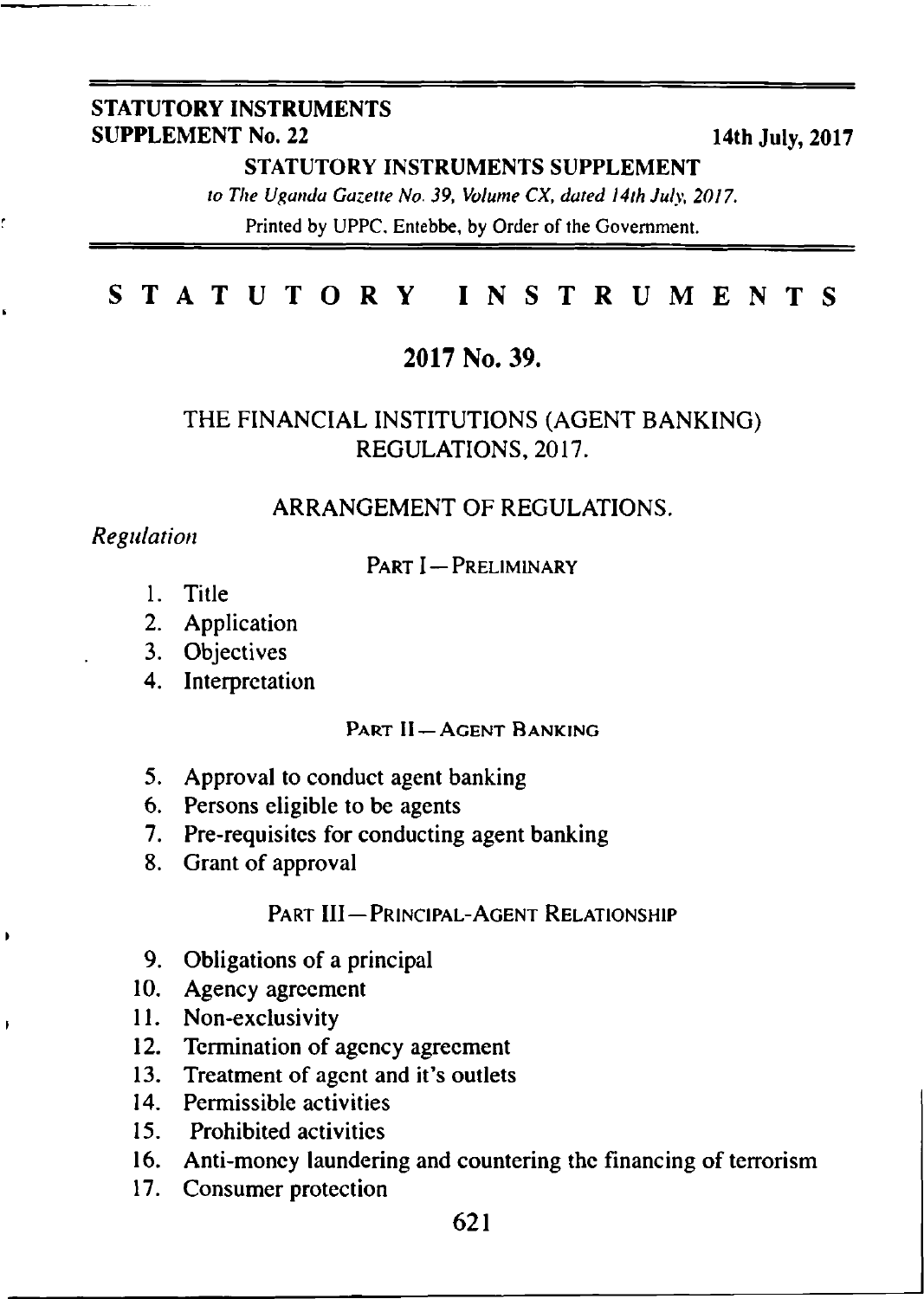#### **STATUTORY INSTRUMENTS SUPPLEMENT No. 22** 14th July, 2017

**STATUTORY INSTRUMENTS SUPPLEMENT**

*to The Uganda Gazette No. 39, Volume CX, dated 14th July, 2017.* Printed by UPPC. Entebbe, by Order of the Government.

### **STATUTORY INSTRUMENTS**

#### **2017 No. 39.**

### THE FINANCIAL INSTITUTIONS (AGENT BANKING) REGULATIONS, 2017.

#### ARRANGEMENT OF REGULATIONS.

#### *Regulation*

 $\bullet$ 

 $\overline{1}$ 

#### PART I - PRELIMINARY

- 1. Title
- 2. Application
- 3. Objectives
- 4. Interpretation

#### Part **II - AGENT BANKING**

- 5. Approval to conduct agent banking
- 6. Persons eligible to be agents
- 7. Pre-requisites for conducting agent banking
- 8. Grant of approval

#### PART III — PRINCIPAL-AGENT RELATIONSHIP

- 9. Obligations of a principal
- 10. Agency agreement
- 11. Non-exclusivity
- 12. Termination of agency agreement
- 13. Treatment of agent and it's outlets
- 14. Permissible activities
- 15. Prohibited activities
- 16. Anti-money laundering and countering the financing of terrorism
- 17. Consumer protection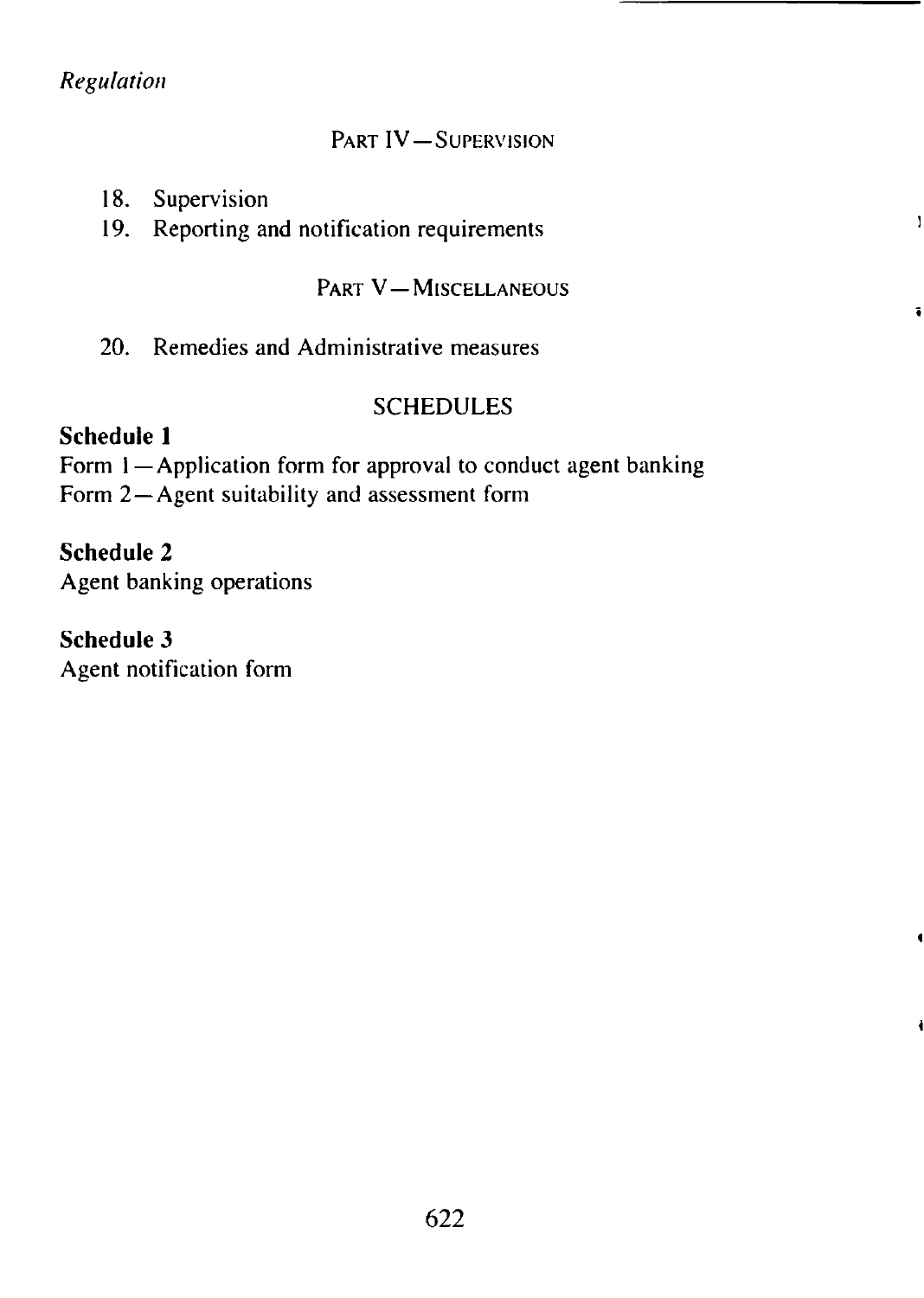# *Regulation*

## PART IV-SUPERVISION

| 18. | Supervision |
|-----|-------------|

19. Reporting and notification requirements

#### PART V-MISCELLANEOUS

 $\mathbf{I}$ 

 $\ddot{\bullet}$ 

 $\mathbf{I}$ 

20. Remedies and Administrative measures

### SCHEDULES

### Schedule 1

Form 1-Application form for approval to conduct agent banking Form 2-Agent suitability and assessment form

# Schedule 2

Agent banking operations

### Schedule 3

Agent notification form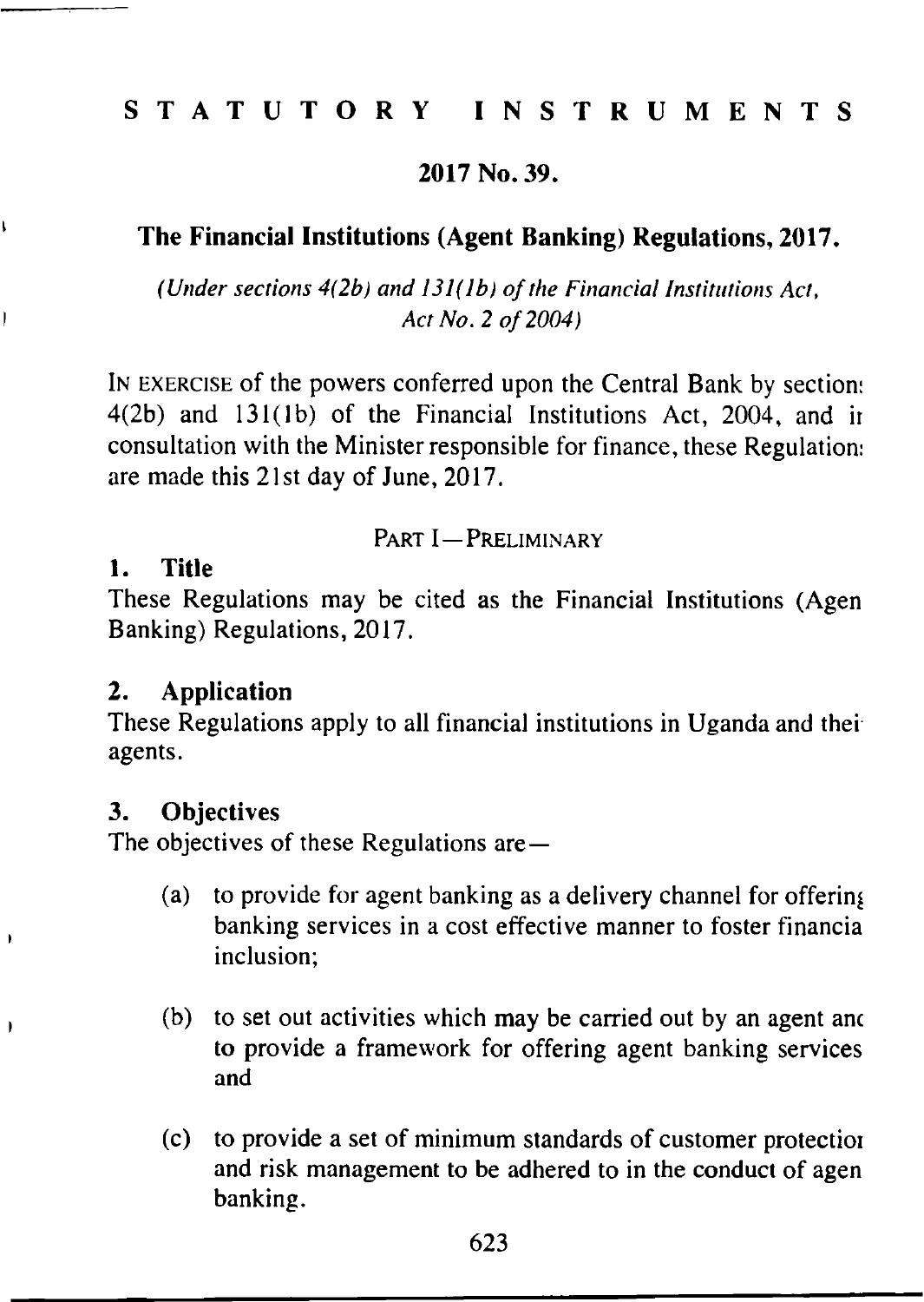# **STATUTORY INSTRUMENTS**

### **2017 No. 39.**

# **The Financial Institutions (Agent Banking) Regulations, 2017.**

*(Under sections 4(2b) and 131(lb) of the Financial Institutions Act, Act No. 2 o f 2004)*

In exercise of the powers conferred upon the Central Bank by section:  $4(2b)$  and  $131(1b)$  of the Financial Institutions Act,  $2004$ , and in consultation with the Minister responsible for finance, these Regulation: are made this 21st day of June, 2017.

### PART I - PRELIMINARY

#### **1. Title**

Ì,

Ì

j

Ì

These Regulations may be cited as the Financial Institutions (Agen Banking) Regulations, 2017.

#### **2. Application**

These Regulations apply to all financial institutions in Uganda and thei agents.

### **3. Objectives**

The objectives of these Regulations are—

- (a) to provide for agent banking as a delivery channel for offering banking services in a cost effective manner to foster financia inclusion;
- (b) to set out activities which may be carried out by an agent anc to provide a framework for offering agent banking services and
- (c) to provide a set of minimum standards of customer protectioi and risk management to be adhered to in the conduct of agen banking.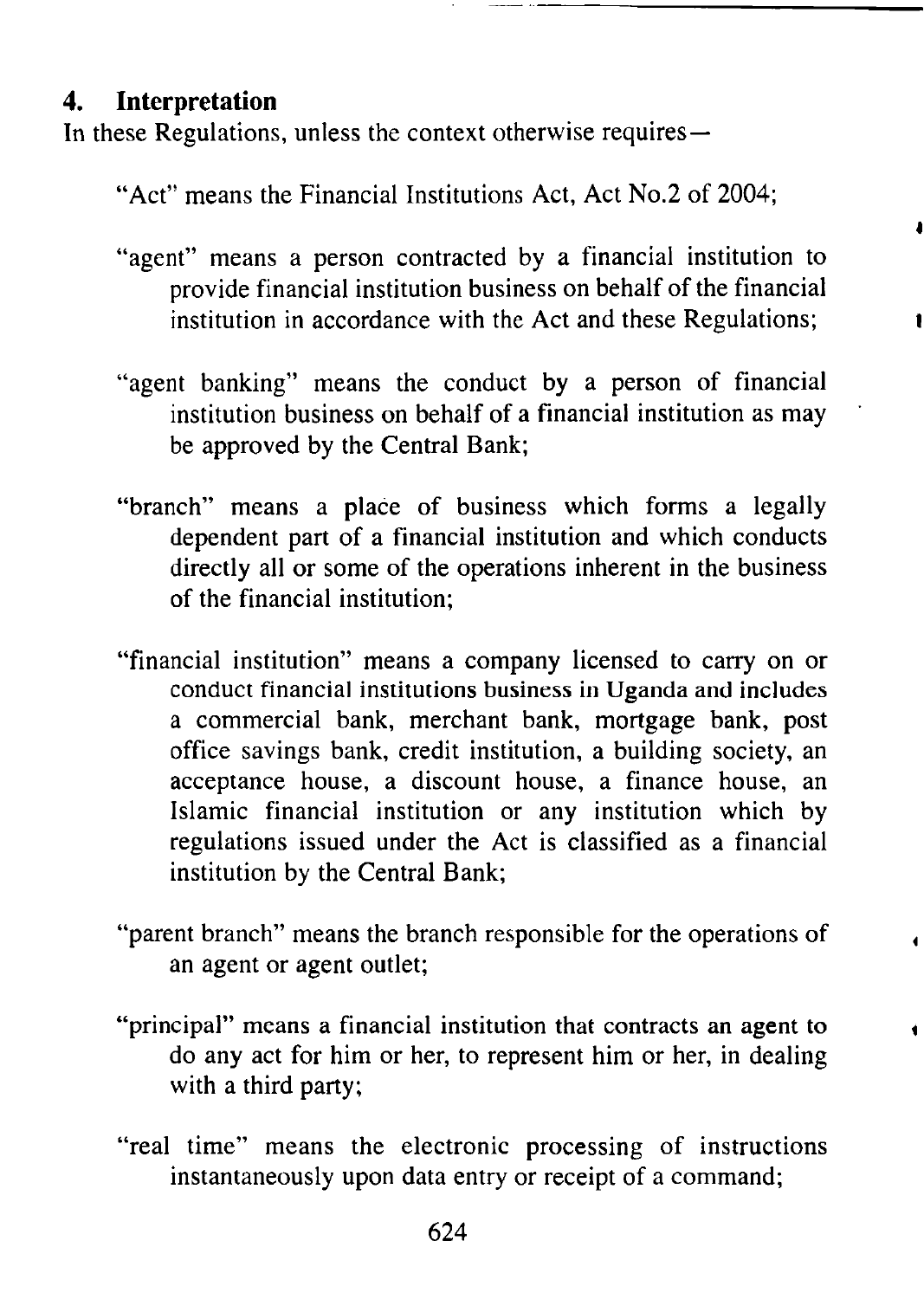# **4. Interpretation**

In these Regulations, unless the context otherwise requires—

"Act" means the Financial Institutions Act, Act No.2 of 2004;

"agent" means a person contracted by a financial institution to provide financial institution business on behalf of the financial institution in accordance with the Act and these Regulations;

4

- "agent banking" means the conduct by a person of financial institution business on behalf of a financial institution as may be approved by the Central Bank;
- "branch" means a place of business which forms a legally dependent part of a financial institution and which conducts directly all or some of the operations inherent in the business of the financial institution;
- "financial institution" means a company licensed to carry on or conduct financial institutions business in Uganda and includes a commercial bank, merchant bank, mortgage bank, post office savings bank, credit institution, a building society, an acceptance house, a discount house, a finance house, an Islamic financial institution or any institution which by regulations issued under the Act is classified as a financial institution by the Central Bank;
- "parent branch" means the branch responsible for the operations of an agent or agent outlet;
- "principal" means a financial institution that contracts an agent to < do any act for him or her, to represent him or her, in dealing with a third party;
- "real time" means the electronic processing of instructions instantaneously upon data entry or receipt of a command;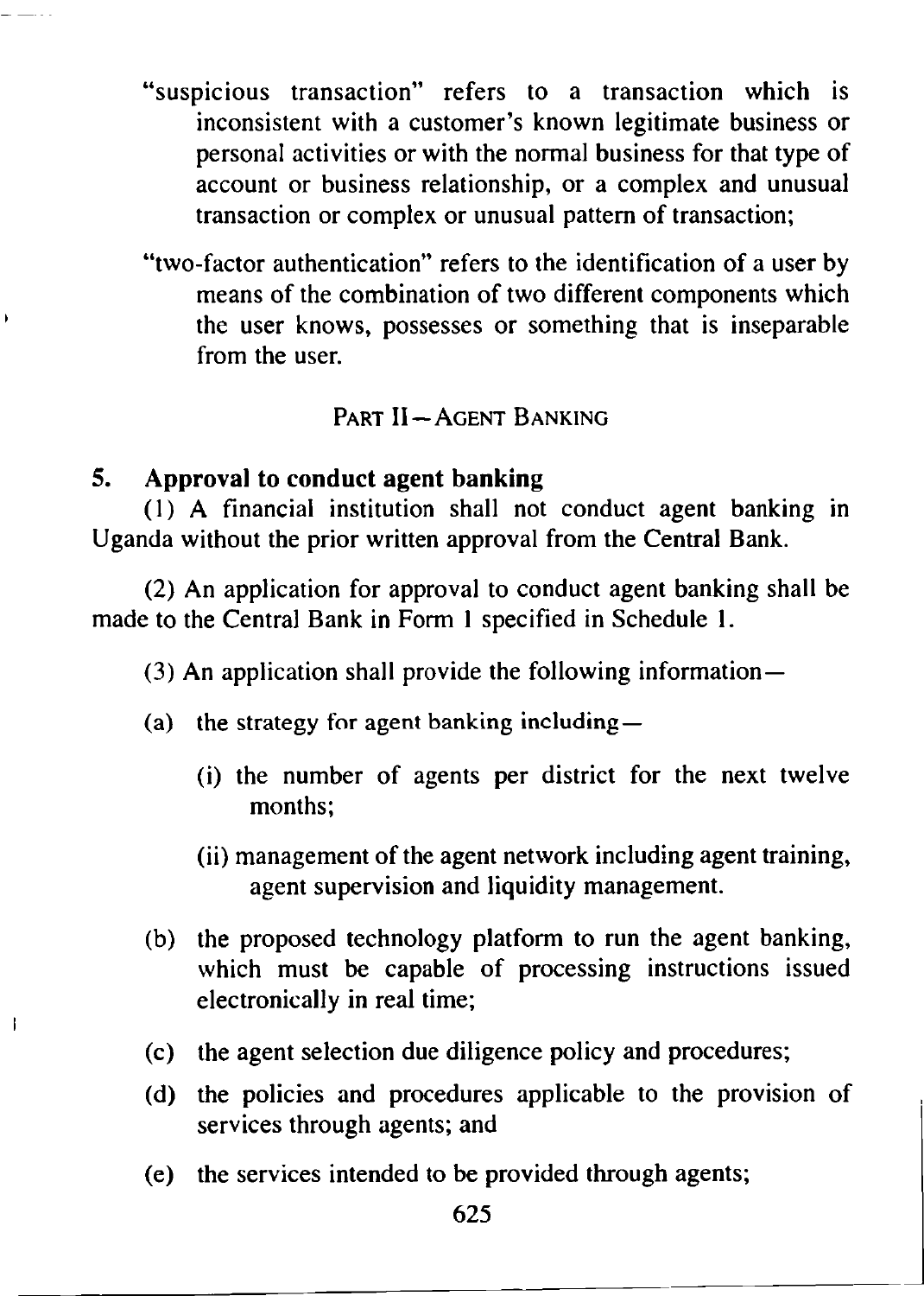- "suspicious transaction" refers to a transaction which is inconsistent with a customer's known legitimate business or personal activities or with the normal business for that type of account or business relationship, or a complex and unusual transaction or complex or unusual pattern of transaction;
- "two-factor authentication" refers to the identification of a user by means of the combination of two different components which the user knows, possesses or something that is inseparable from the user.

# PART II - AGENT BANKING

# **5. Approval to conduct agent banking**

ł

(1) A financial institution shall not conduct agent banking in Uganda without the prior written approval from the Central Bank.

(2) An application for approval to conduct agent banking shall be made to the Central Bank in Form 1 specified in Schedule 1.

(3) An application shall provide the following information—

- (a) the strategy for agent banking including—
	- (i) the number of agents per district for the next twelve months;
	- (ii) management of the agent network including agent training, agent supervision and liquidity management.
- (b) the proposed technology platform to run the agent banking, which must be capable of processing instructions issued electronically in real time;
- (c) the agent selection due diligence policy and procedures;
- (d) the policies and procedures applicable to the provision of services through agents; and
- (e) the services intended to be provided through agents;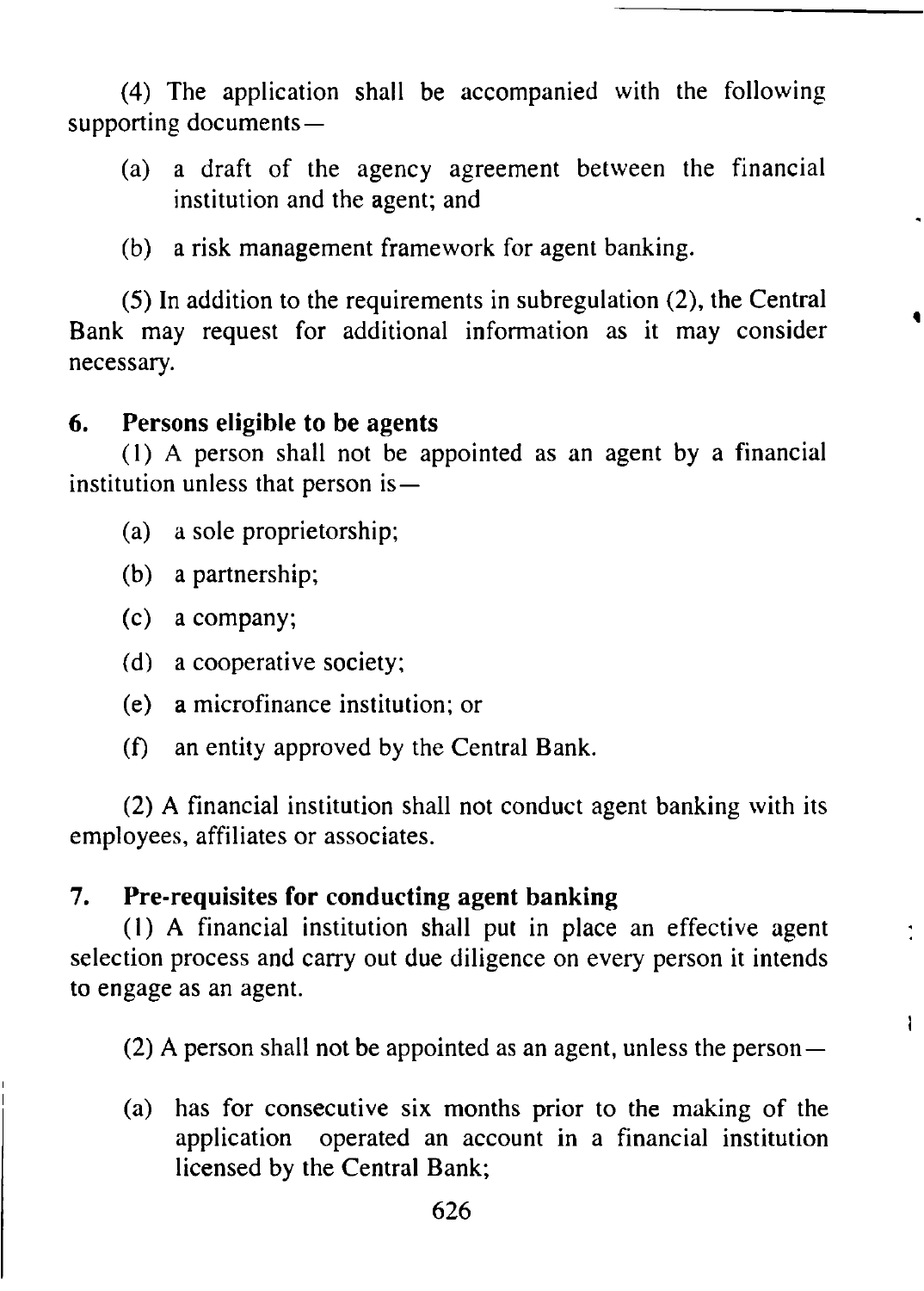(4) The application shall be accompanied with the following supporting documents—

- (a) a draft of the agency agreement between the financial institution and the agent; and
- (b) a risk management framework for agent banking.

(5) In addition to the requirements in subregulation (2), the Central Bank may request for additional information as it may consider necessary.

## **6. Persons eligible to be agents**

(1) A person shall not be appointed as an agent by a financial institution unless that person is—

- (a) a sole proprietorship;
- (b) a partnership;
- (c) a company;
- (d) a cooperative society;
- (e) a microfinance institution; or
- (f) an entity approved by the Central Bank.

(2) A financial institution shall not conduct agent banking with its employees, affiliates or associates.

# **7. Pre-requisites for conducting agent banking**

(1) A financial institution shall put in place an effective agent selection process and carry out due diligence on every person it intends to engage as an agent.

(2) A person shall not be appointed as an agent, unless the person—

÷

 $\mathbf{I}$ 

(a) has for consecutive six months prior to the making of the application operated an account in a financial institution licensed by the Central Bank;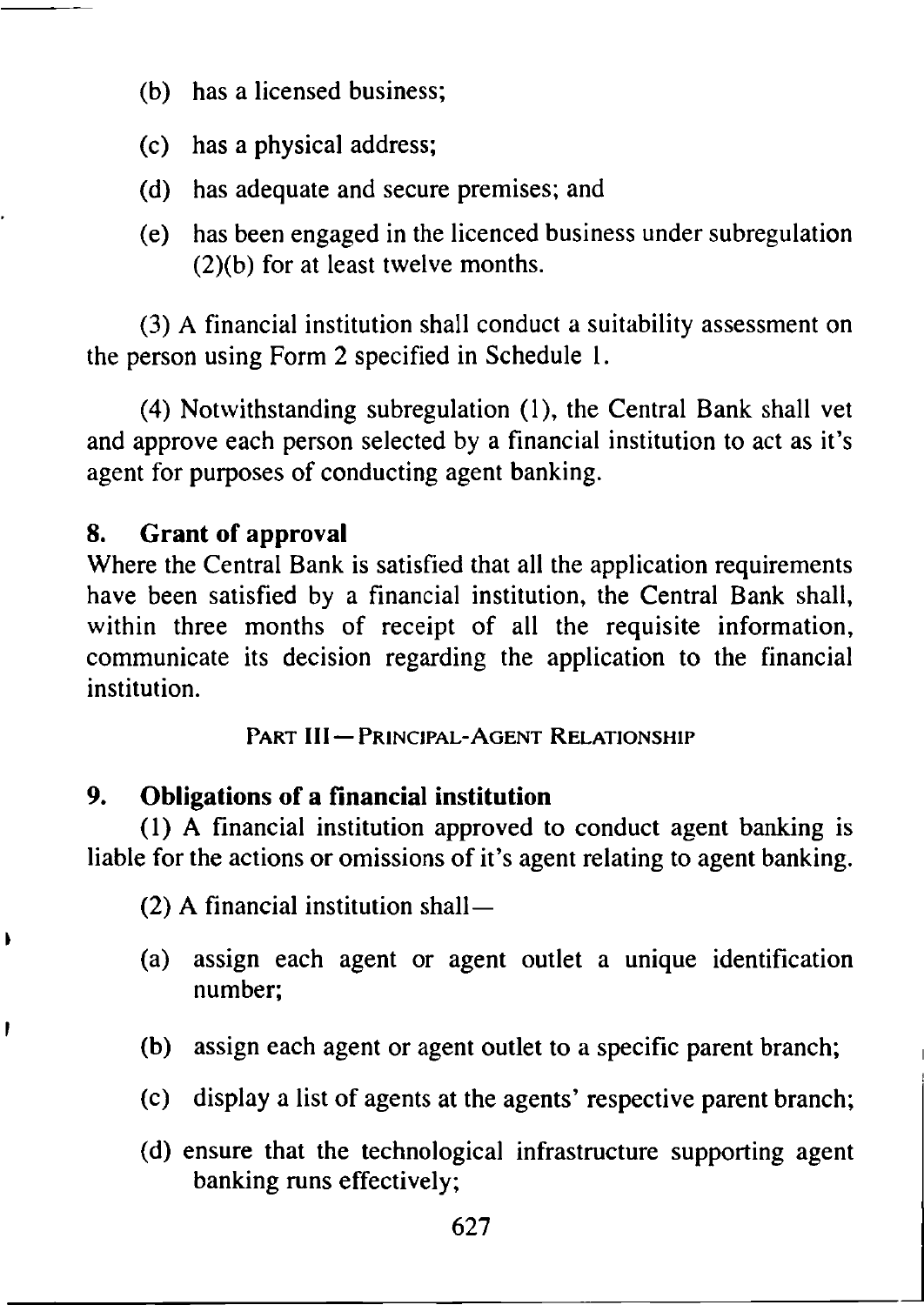- (b) has a licensed business;
- (c) has a physical address;
- (d) has adequate and secure premises; and
- (e) has been engaged in the licenced business under subregulation (2)(b) for at least twelve months.

(3) A financial institution shall conduct a suitability assessment on the person using Form 2 specified in Schedule 1.

(4) Notwithstanding subregulation (1), the Central Bank shall vet and approve each person selected by a financial institution to act as it's agent for purposes of conducting agent banking.

# **8. Grant of approval**

 $\lambda$ 

ł

Where the Central Bank is satisfied that all the application requirements have been satisfied by a financial institution, the Central Bank shall, within three months of receipt of all the requisite information, communicate its decision regarding the application to the financial institution.

PART III - PRINCIPAL-AGENT RELATIONSHIP

# **9. Obligations of a financial institution**

(1) A financial institution approved to conduct agent banking is liable for the actions or omissions of it's agent relating to agent banking.

(2) A financial institution shall—

- (a) assign each agent or agent outlet a unique identification number;
- (b) assign each agent or agent outlet to a specific parent branch;
- (c) display a list of agents at the agents' respective parent branch;
- (d) ensure that the technological infrastructure supporting agent banking runs effectively;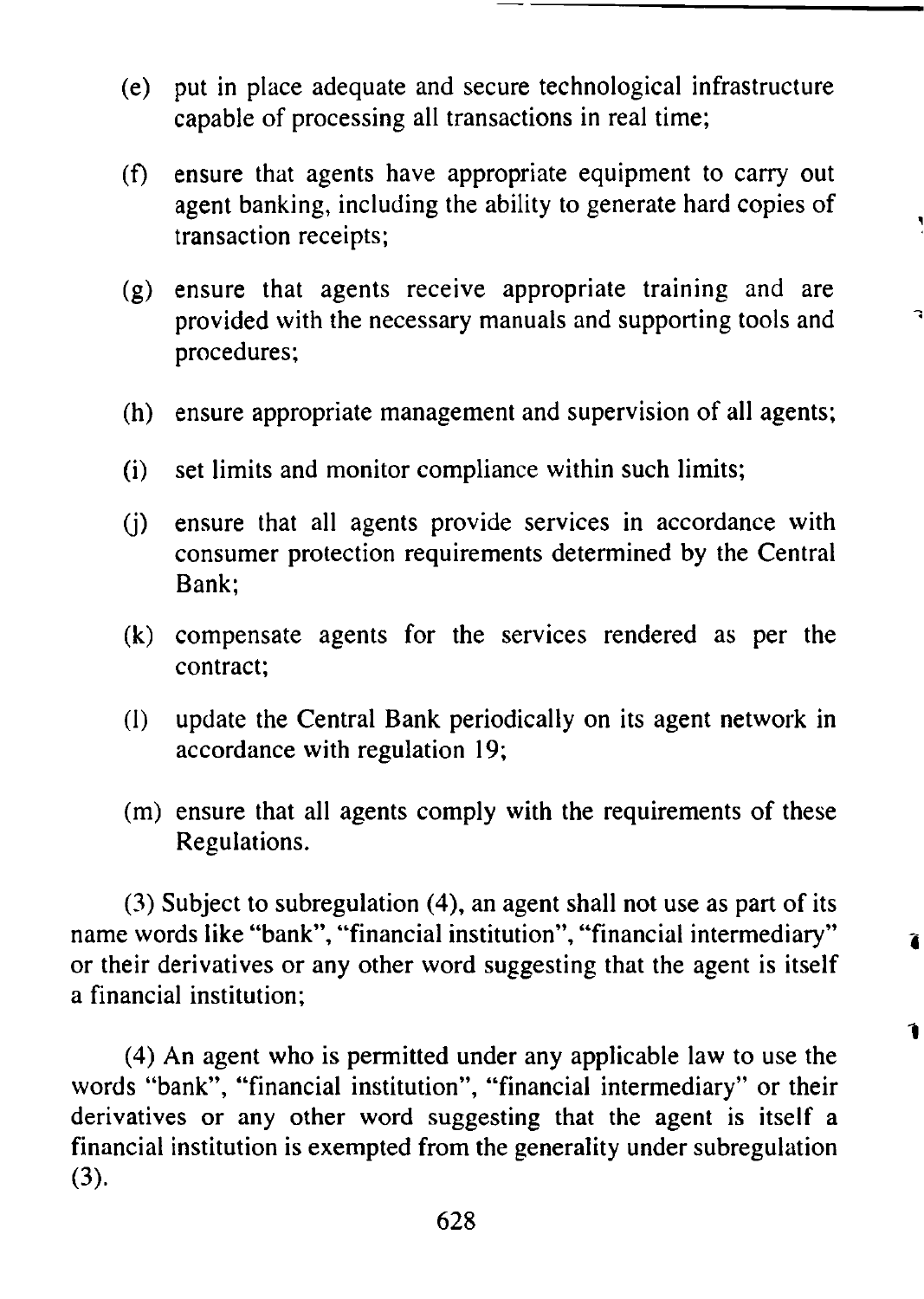- (e) put in place adequate and secure technological infrastructure capable of processing all transactions in real time;
- (f) ensure that agents have appropriate equipment to carry out agent banking, including the ability to generate hard copies of transaction receipts;
- (g) ensure that agents receive appropriate training and are provided with the necessary manuals and supporting tools and procedures;
- (h) ensure appropriate management and supervision of all agents;
- (i) set limits and monitor compliance within such limits;
- (j) ensure that all agents provide services in accordance with consumer protection requirements determined by the Central Bank;
- (k) compensate agents for the services rendered as per the contract;
- (l) update the Central Bank periodically on its agent network in accordance with regulation 19;
- (m) ensure that all agents comply with the requirements of these Regulations.

(3) Subject to subregulation (4), an agent shall not use as part of its name words like "bank", "financial institution", "financial intermediary" or their derivatives or any other word suggesting that the agent is itself a financial institution;

(4) An agent who is permitted under any applicable law to use the words "bank", "financial institution", "financial intermediary" or their derivatives or any other word suggesting that the agent is itself a financial institution is exempted from the generality under subregulation (3).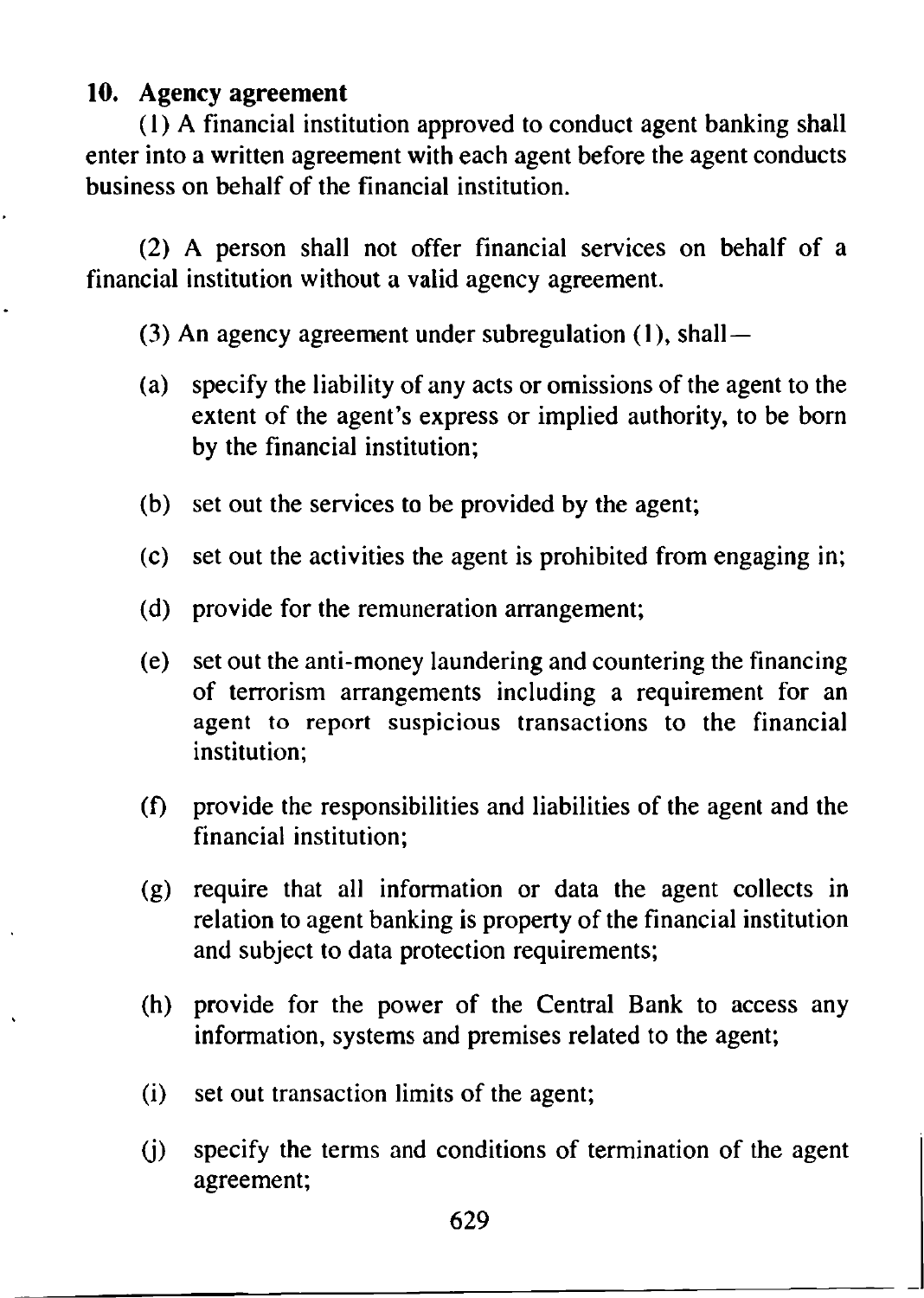## **10. Agency agreement**

(1) A financial institution approved to conduct agent banking shall enter into a written agreement with each agent before the agent conducts business on behalf of the financial institution.

(2) A person shall not offer financial services on behalf of a financial institution without a valid agency agreement.

(3) An agency agreement under subregulation (1), shall —

- (a) specify the liability of any acts or omissions of the agent to the extent of the agent's express or implied authority, to be born by the financial institution;
- (b) set out the services to be provided by the agent;
- (c) set out the activities the agent is prohibited from engaging in;
- (d) provide for the remuneration arrangement;
- (e) set out the anti-money laundering and countering the financing of terrorism arrangements including a requirement for an agent to report suspicious transactions to the financial institution;
- (f) provide the responsibilities and liabilities of the agent and the financial institution;
- (g) require that all information or data the agent collects in relation to agent banking is property of the financial institution and subject to data protection requirements;
- (h) provide for the power of the Central Bank to access any information, systems and premises related to the agent;
- (i) set out transaction limits of the agent;
- (j) specify the terms and conditions of termination of the agent agreement;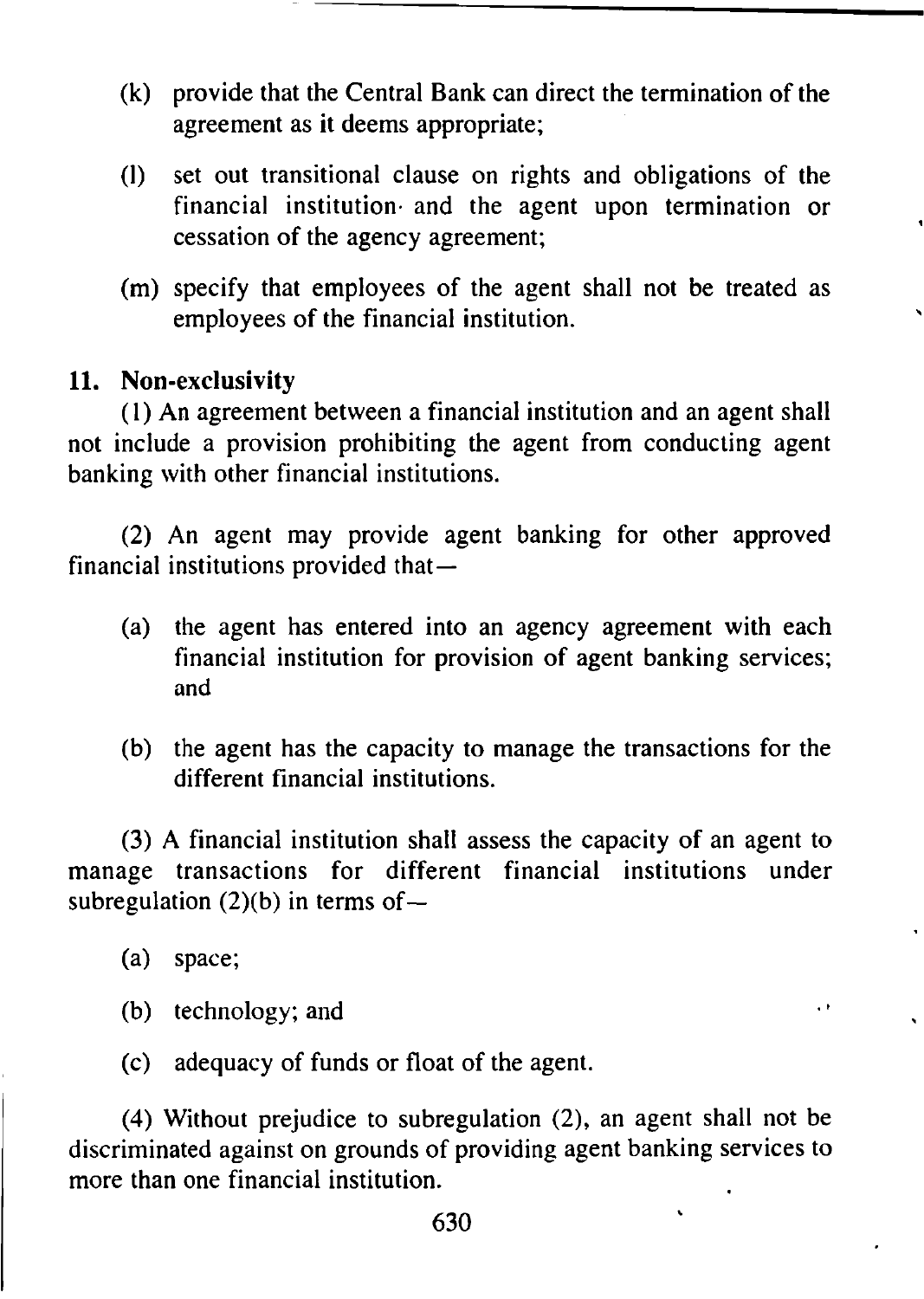- (k) provide that the Central Bank can direct the termination of the agreement as it deems appropriate;
- (l) set out transitional clause on rights and obligations of the financial institution- and the agent upon termination or cessation of the agency agreement;
- (m) specify that employees of the agent shall not be treated as employees of the financial institution.

# **11. Non-exclusivity**

(1) An agreement between a financial institution and an agent shall not include a provision prohibiting the agent from conducting agent banking with other financial institutions.

(2) An agent may provide agent banking for other approved financial institutions provided that—

- (a) the agent has entered into an agency agreement with each financial institution for provision of agent banking services; and
- (b) the agent has the capacity to manage the transactions for the different financial institutions.

 $\cdot$   $\cdot$ 

(3) A financial institution shall assess the capacity of an agent to manage transactions for different financial institutions under subregulation  $(2)(b)$  in terms of  $-$ 

- (a) space;
- (b) technology; and
- (c) adequacy of funds or float of the agent.

(4) Without prejudice to subregulation (2), an agent shall not be discriminated against on grounds of providing agent banking services to more than one financial institution.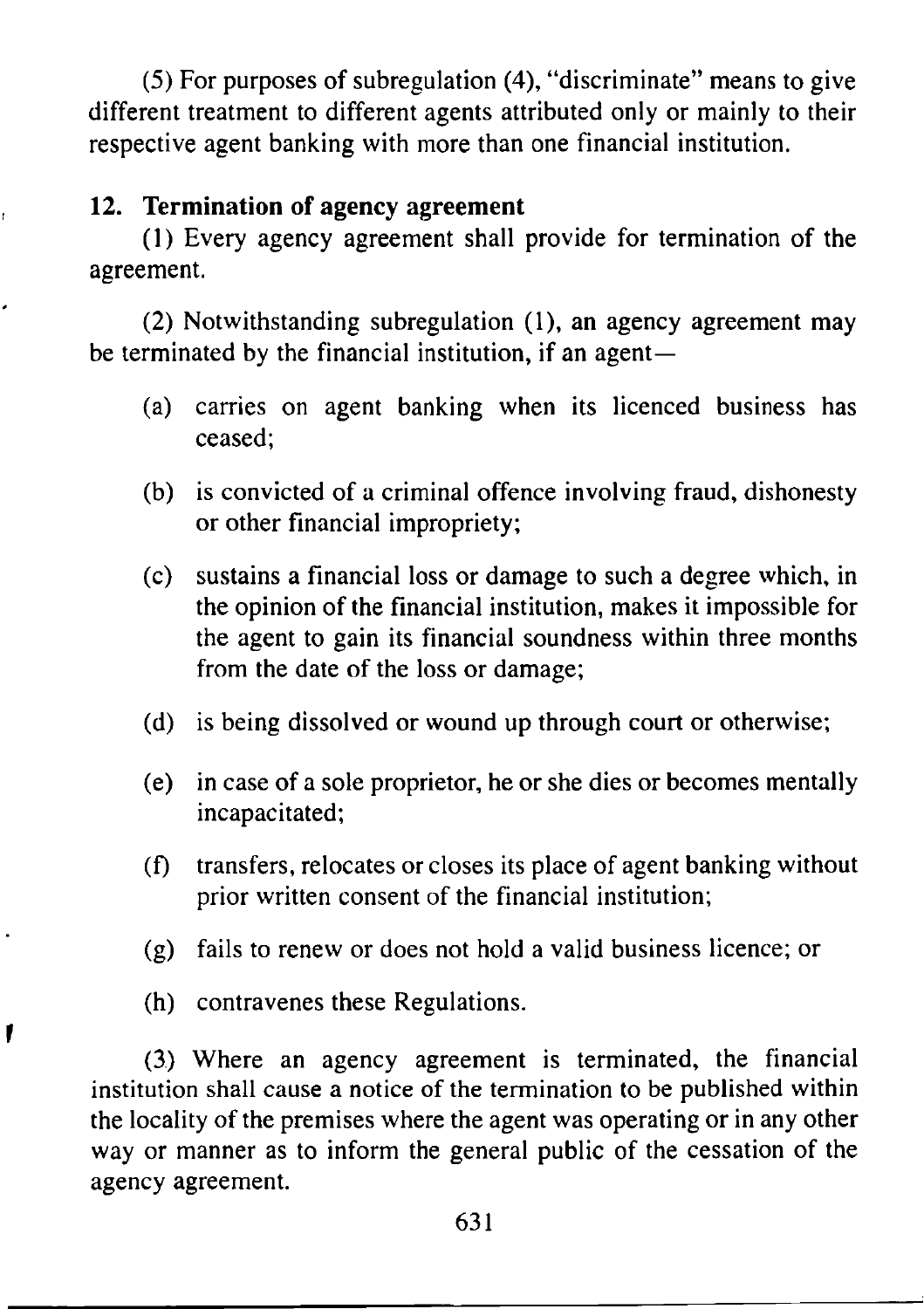(5) For purposes of subregulation (4), "discriminate" means to give different treatment to different agents attributed only or mainly to their respective agent banking with more than one financial institution.

# **12. Termination of agency agreement**

(1) Every agency agreement shall provide for termination of the agreement.

(2) Notwithstanding subregulation (1), an agency agreement may be terminated by the financial institution, if an agent—

- (a) carries on agent banking when its licenced business has ceased;
- (b) is convicted of a criminal offence involving fraud, dishonesty or other financial impropriety;
- (c) sustains a financial loss or damage to such a degree which, in the opinion of the financial institution, makes it impossible for the agent to gain its financial soundness within three months from the date of the loss or damage;
- (d) is being dissolved or wound up through court or otherwise;
- (e) in case of a sole proprietor, he or she dies or becomes mentally incapacitated;
- (f) transfers, relocates or closes its place of agent banking without prior written consent of the financial institution;
- (g) fails to renew or does not hold a valid business licence; or
- (h) contravenes these Regulations.

1

(3.) Where an agency agreement is terminated, the financial institution shall cause a notice of the termination to be published within the locality of the premises where the agent was operating or in any other way or manner as to inform the general public of the cessation of the agency agreement.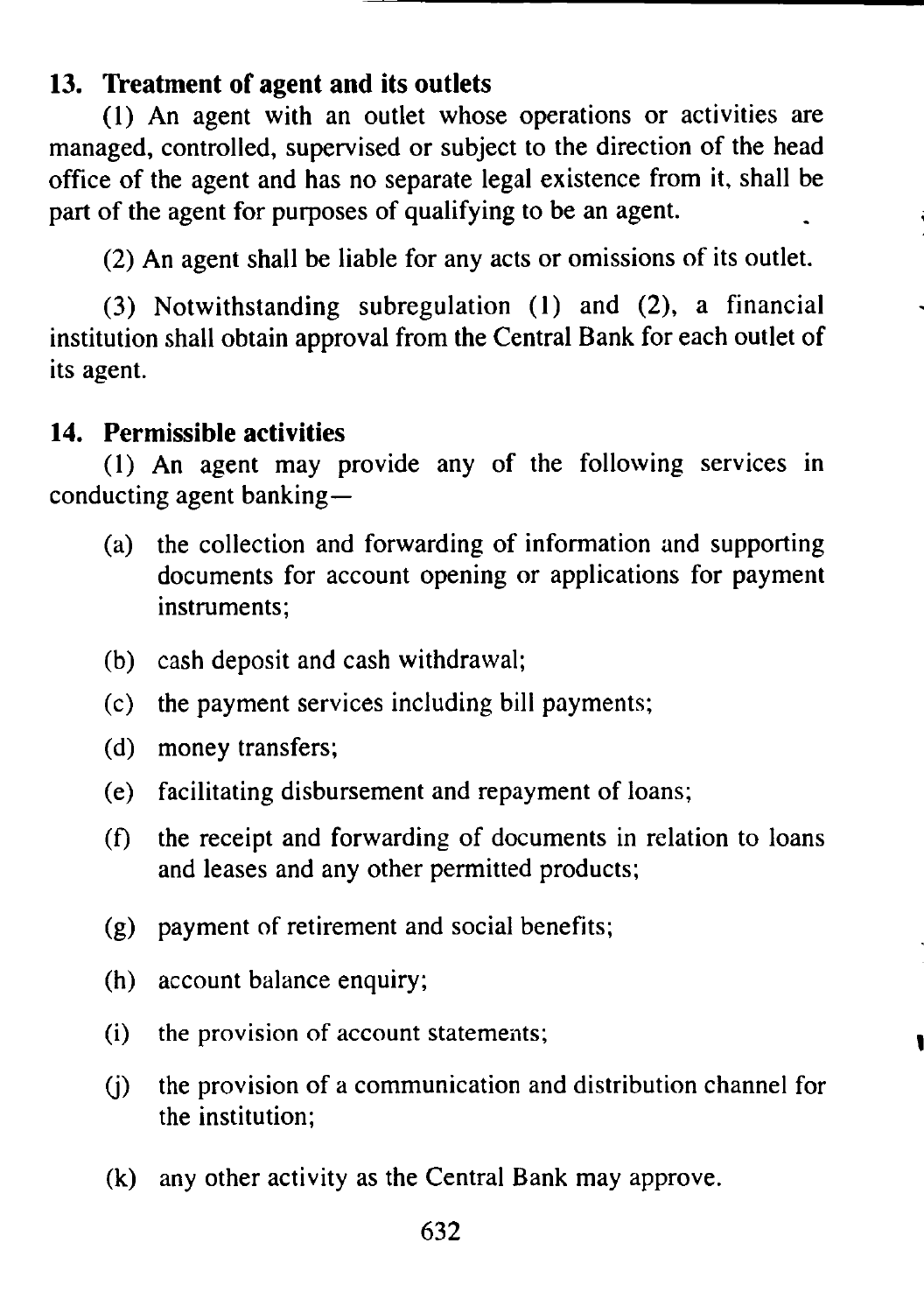# **13. Treatment of agent and its outlets**

(1) An agent with an outlet whose operations or activities are managed, controlled, supervised or subject to the direction of the head office of the agent and has no separate legal existence from it, shall be part of the agent for purposes of qualifying to be an agent.

(2) An agent shall be liable for any acts or omissions of its outlet.

(3) Notwithstanding subregulation (1) and (2), a financial institution shall obtain approval from the Central Bank for each outlet of its agent.

### **14. Permissible activities**

(1) An agent may provide any of the following services in conducting agent banking—

- (a) the collection and forwarding of information and supporting documents for account opening or applications for payment instruments;
- (b) cash deposit and cash withdrawal;
- (c) the payment services including bill payments;
- (d) money transfers;
- (e) facilitating disbursement and repayment of loans;
- (f) the receipt and forwarding of documents in relation to loans and leases and any other permitted products;
- (g) payment of retirement and social benefits;
- (h) account balance enquiry;
- (i) the provision of account statements;
- (j) the provision of a communication and distribution channel for the institution;
- (k) any other activity as the Central Bank may approve.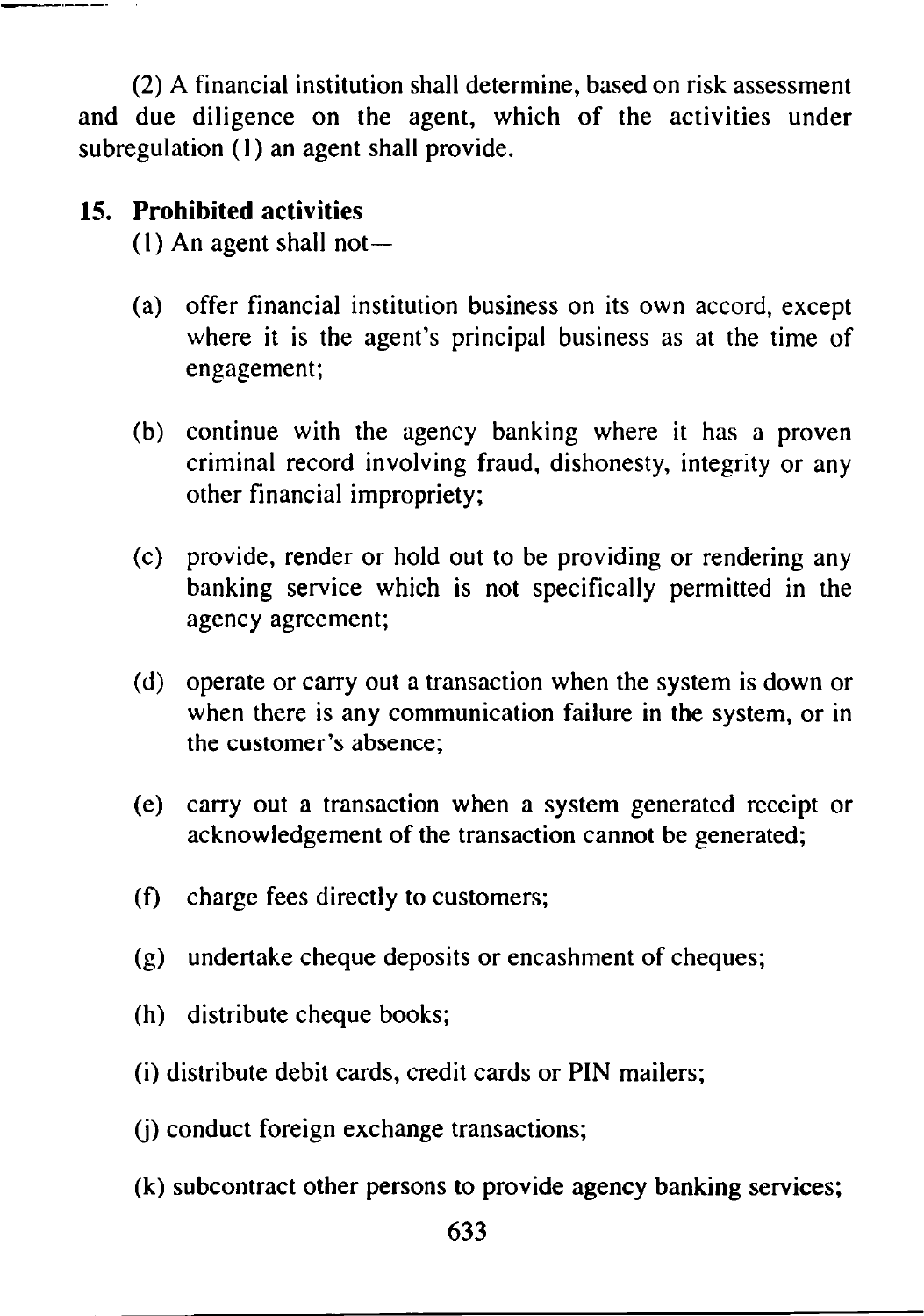(2) A financial institution shall determine, based on risk assessment and due diligence on the agent, which of the activities under subregulation (1) an agent shall provide.

# **15. Prohibited activities**

(1) An agent shall not—

- (a) offer financial institution business on its own accord, except where it is the agent's principal business as at the time of engagement;
- (b) continue with the agency banking where it has a proven criminal record involving fraud, dishonesty, integrity or any other financial impropriety;
- (c) provide, render or hold out to be providing or rendering any banking service which is not specifically permitted in the agency agreement;
- (d) operate or carry out a transaction when the system is down or when there is any communication failure in the system, or in the customer's absence;
- (e) carry out a transaction when a system generated receipt or acknowledgement of the transaction cannot be generated;
- (f) charge fees directly to customers;
- (g) undertake cheque deposits or encashment of cheques;
- (h) distribute cheque books;
- (i) distribute debit cards, credit cards or PIN mailers;
- (j) conduct foreign exchange transactions;
- (k) subcontract other persons to provide agency banking services;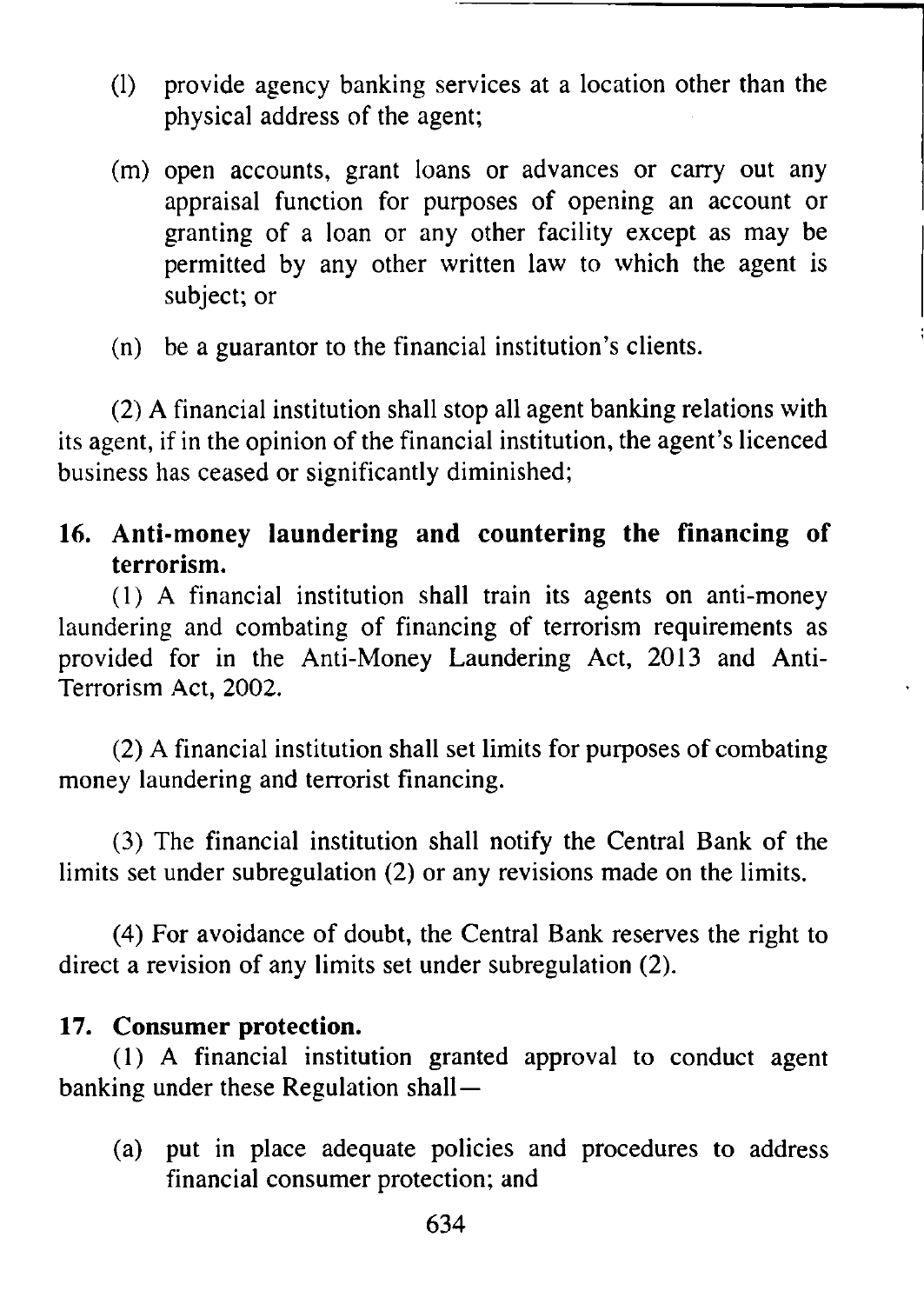- (1) provide agency banking services at a location other than the physical address of the agent;
- (m) open accounts, grant loans or advances or carry out any appraisal function for purposes of opening an account or granting of a loan or any other facility except as may be permitted by any other written law to which the agent is subject; or
- (n) be a guarantor to the financial institution's clients.

(2) A financial institution shall stop all agent banking relations with its agent, if in the opinion of the financial institution, the agent's licenced business has ceased or significantly diminished;

# **16. Anti-money laundering and countering the financing of terrorism.**

(1) A financial institution shall train its agents on anti-money laundering and combating of financing of terrorism requirements as provided for in the Anti-Money Laundering Act, 2013 and Anti-Terrorism Act, 2002.

(2) A financial institution shall set limits for purposes of combating money laundering and terrorist financing.

(3) The financial institution shall notify the Central Bank of the limits set under subregulation (2) or any revisions made on the limits.

(4) For avoidance of doubt, the Central Bank reserves the right to direct a revision of any limits set under subregulation (2).

# **17. Consumer protection.**

(1) A financial institution granted approval to conduct agent banking under these Regulation shall—

(a) put in place adequate policies and procedures to address financial consumer protection; and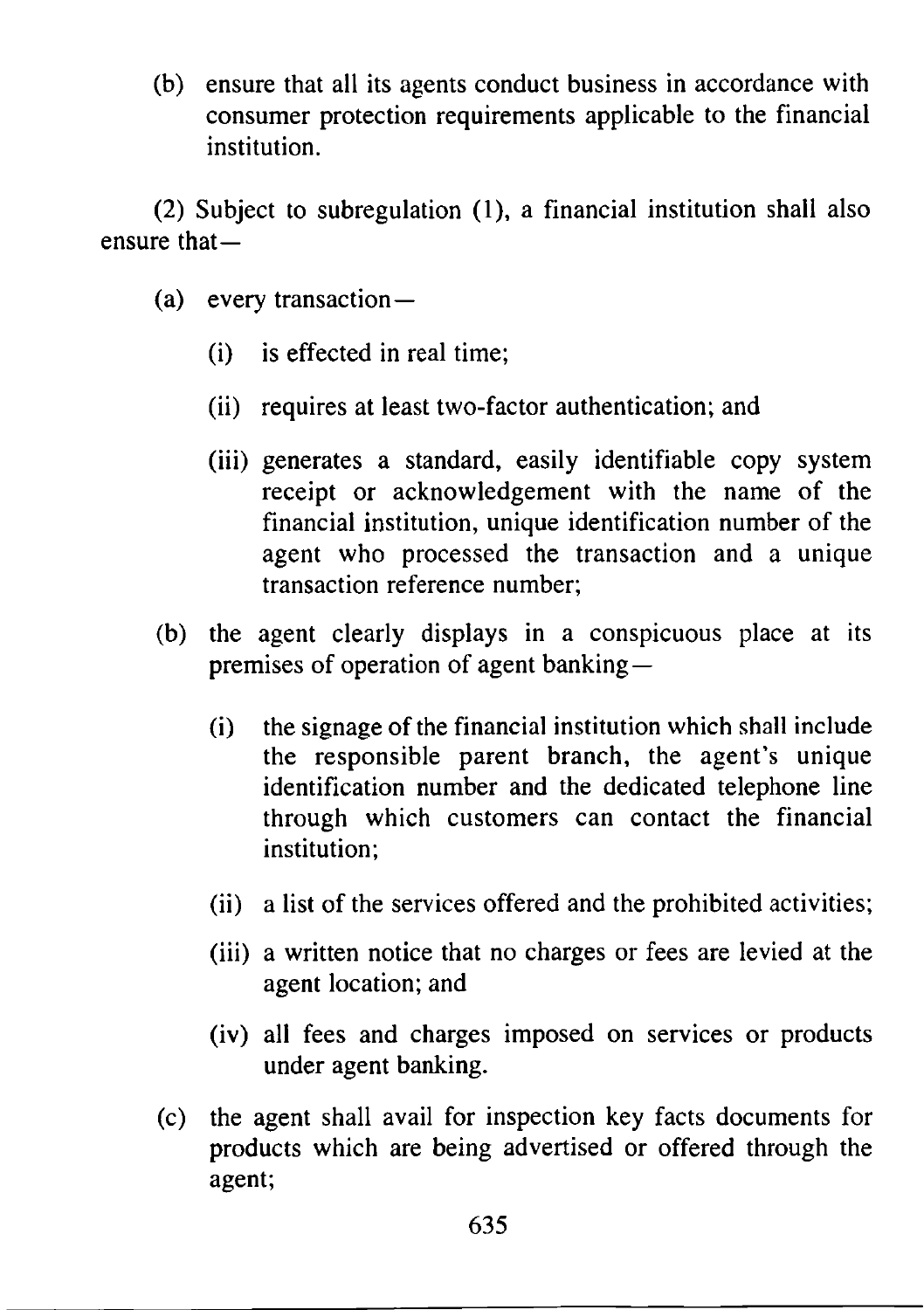(b) ensure that all its agents conduct business in accordance with consumer protection requirements applicable to the financial institution.

(2) Subject to subregulation (1), a financial institution shall also ensure that—

- (a) every transaction—
	- (i) is effected in real time;
	- (ii) requires at least two-factor authentication; and
	- (iii) generates a standard, easily identifiable copy system receipt or acknowledgement with the name of the financial institution, unique identification number of the agent who processed the transaction and a unique transaction reference number;
- (b) the agent clearly displays in a conspicuous place at its premises of operation of agent banking—
	- (i) the signage of the financial institution which shall include the responsible parent branch, the agent's unique identification number and the dedicated telephone line through which customers can contact the financial institution;
	- (ii) a list of the services offered and the prohibited activities;
	- (iii) a written notice that no charges or fees are levied at the agent location; and
	- (iv) all fees and charges imposed on services or products under agent banking.
- (c) the agent shall avail for inspection key facts documents for products which are being advertised or offered through the agent;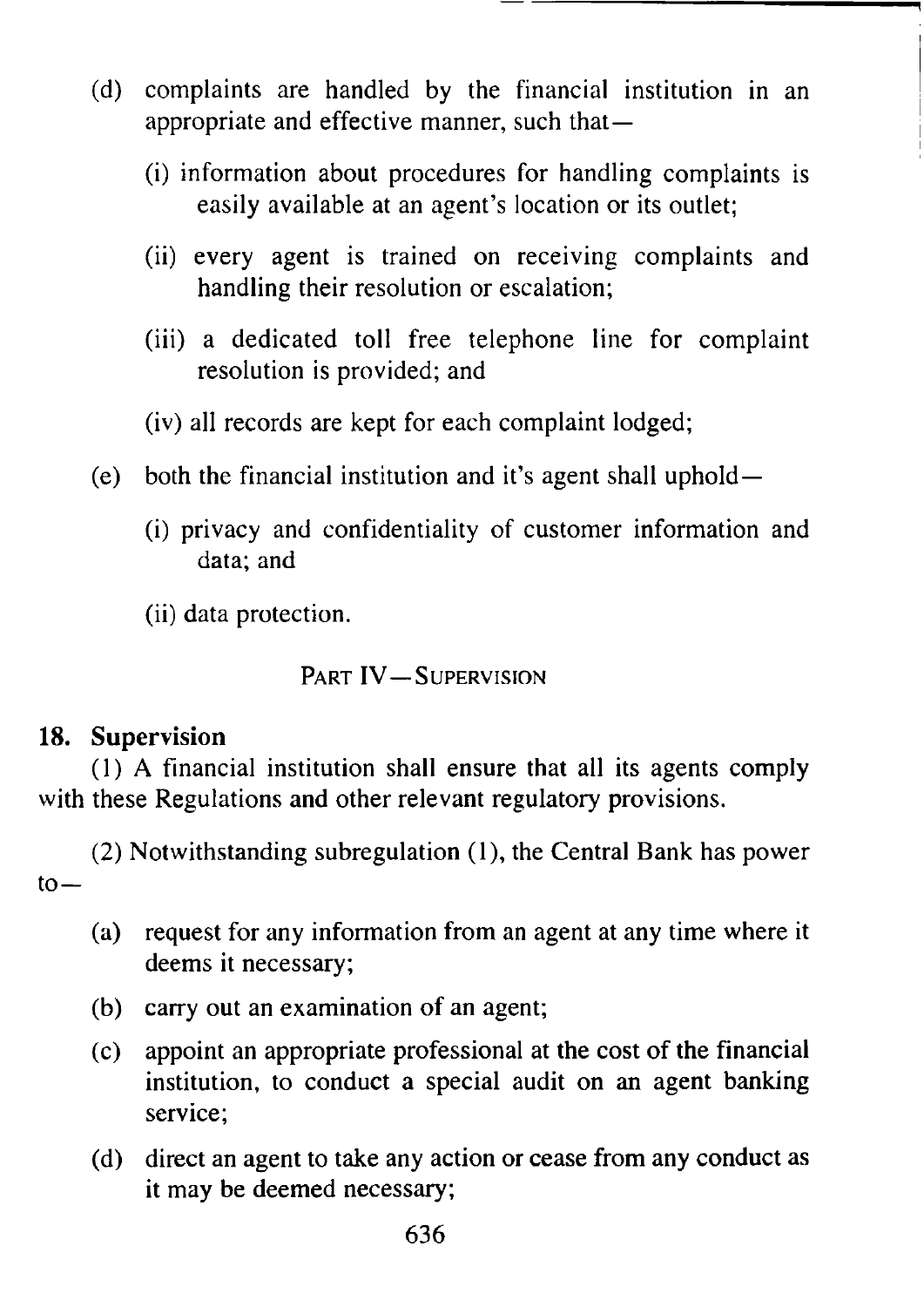- (d) complaints are handled by the financial institution in an appropriate and effective manner, such that—
	- (i) information about procedures for handling complaints is easily available at an agent's location or its outlet;
	- (ii) every agent is trained on receiving complaints and handling their resolution or escalation;
	- (iii) a dedicated toll free telephone line for complaint resolution is provided; and
	- (iv) all records are kept for each complaint lodged;
- (e) both the financial institution and it's agent shall uphold—
	- (i) privacy and confidentiality of customer information and data; and
	- (ii) data protection.

PART IV-SUPERVISION

# **18. Supervision**

(1) A financial institution shall ensure that all its agents comply with these Regulations and other relevant regulatory provisions.

(2) Notwithstanding subregulation (1), the Central Bank has power  $to-$ 

- (a) request for any information from an agent at any time where it deems it necessary;
- (b) carry out an examination of an agent;
- (c) appoint an appropriate professional at the cost of the financial institution, to conduct a special audit on an agent banking service;
- (d) direct an agent to take any action or cease from any conduct as it may be deemed necessary;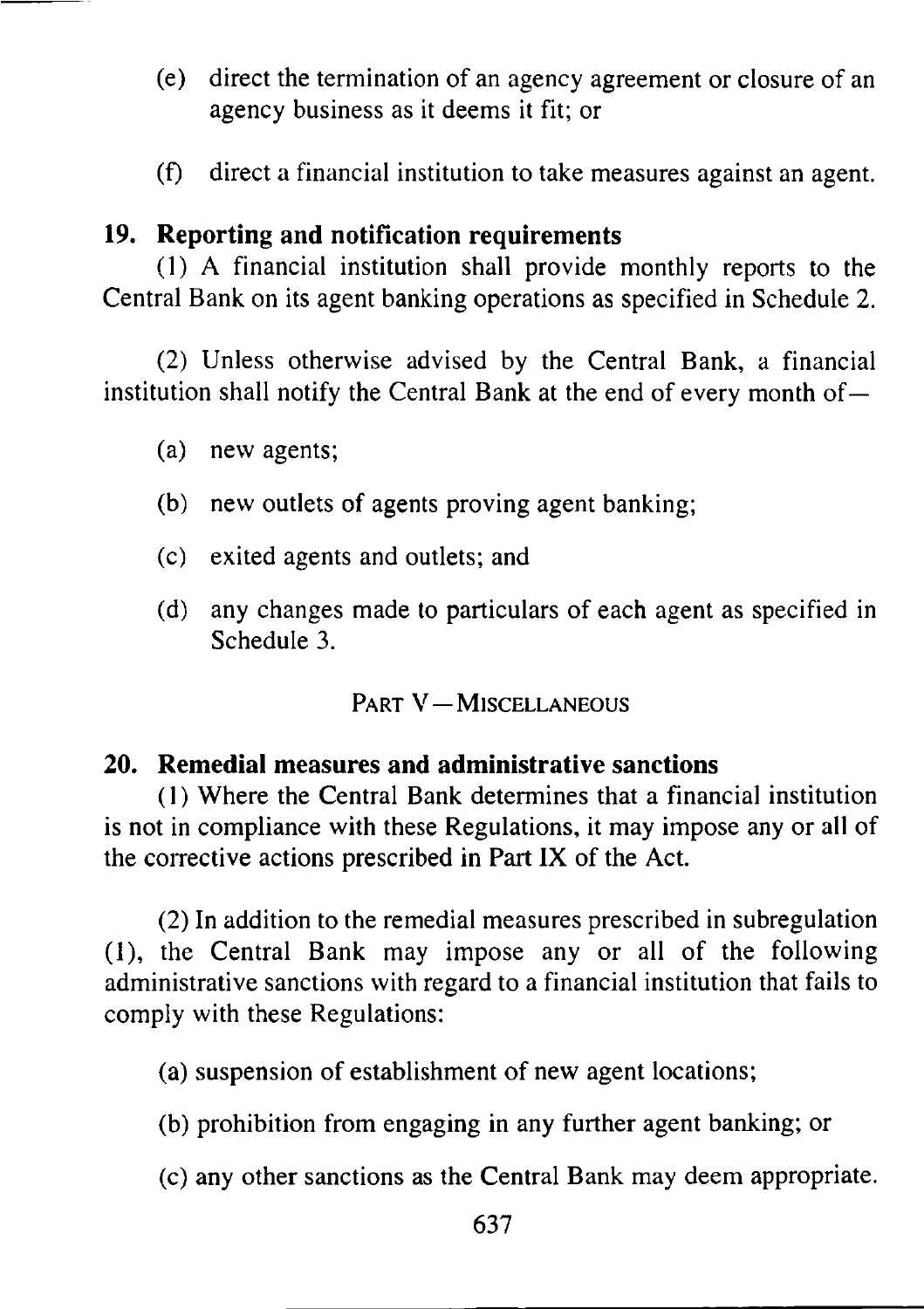- (e) direct the termination of an agency agreement or closure of an agency business as it deems it fit; or
- (f) direct a financial institution to take measures against an agent.

# **19. Reporting and notification requirements**

(1) A financial institution shall provide monthly reports to the Central Bank on its agent banking operations as specified in Schedule 2.

(2) Unless otherwise advised by the Central Bank, a financial institution shall notify the Central Bank at the end of every month of  $-$ 

- (a) new agents;
- (b) new outlets of agents proving agent banking;
- (c) exited agents and outlets; and
- (d) any changes made to particulars of each agent as specified in Schedule 3.

# PART V-MISCELLANEOUS

## **20. Remedial measures and administrative sanctions**

(1) Where the Central Bank determines that a financial institution is not in compliance with these Regulations, it may impose any or all of the corrective actions prescribed in Part IX of the Act.

(2) In addition to the remedial measures prescribed in subregulation (1), the Central Bank may impose any or all of the following administrative sanctions with regard to a financial institution that fails to comply with these Regulations:

(a) suspension of establishment of new agent locations;

- (b) prohibition from engaging in any further agent banking; or
- (c) any other sanctions as the Central Bank may deem appropriate.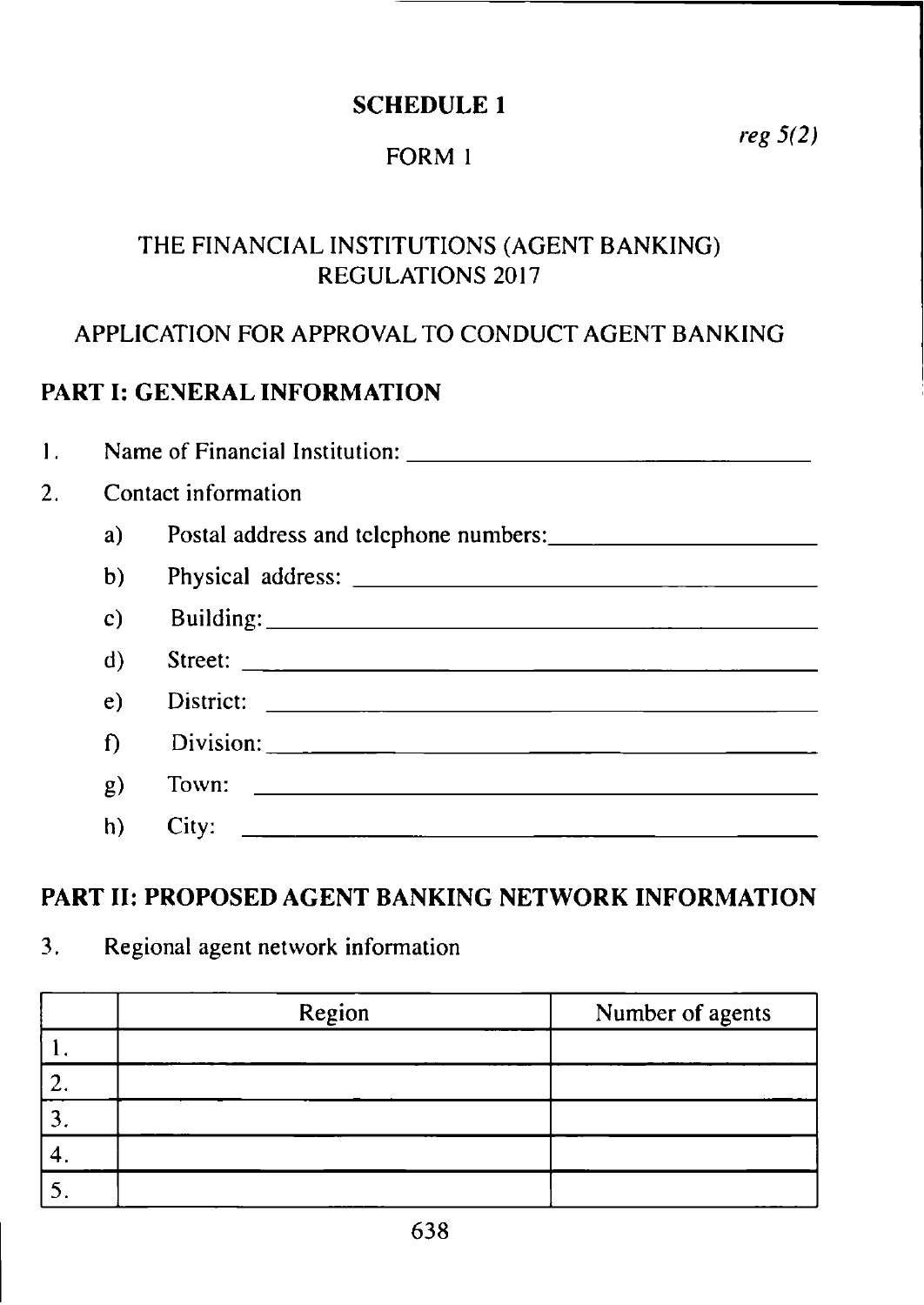### SCHEDULE 1

# FORM 1

THE FINANCIAL INSTITUTIONS (AGENT BANKING) REGULATIONS 2017

## APPLICATION FOR APPROVAL TO CONDUCT AGENT BANKING

# PART I: GENERAL INFORMATION

| 1.               |    | Name of Financial Institution:                                                                                                 |
|------------------|----|--------------------------------------------------------------------------------------------------------------------------------|
| $\overline{2}$ . |    | Contact information                                                                                                            |
|                  | a) |                                                                                                                                |
|                  | b) |                                                                                                                                |
|                  | c) |                                                                                                                                |
|                  | d) |                                                                                                                                |
|                  | e) |                                                                                                                                |
|                  | f) | Division: 2008 and 2008 and 2008 and 2008 and 2008 and 2008 and 2008 and 2008 and 2008 and 2008 and 2008 and 20                |
|                  | g) | Town: $\qquad \qquad$                                                                                                          |
|                  | h) | City:<br><u> 1980 - Johann Barn, mars ann an t-Amhain an t-Amhain an t-Amhain an t-Amhain an t-Amhain an t-Amhain an t-Amh</u> |

### PART II: PROPOSED AGENT BANKING NETWORK INFORMATION

| 3.<br>Regional agent network information |  |
|------------------------------------------|--|
|------------------------------------------|--|

| Region | Number of agents |
|--------|------------------|
|        |                  |
|        |                  |
|        |                  |
|        |                  |
|        |                  |

*reg 5(2)*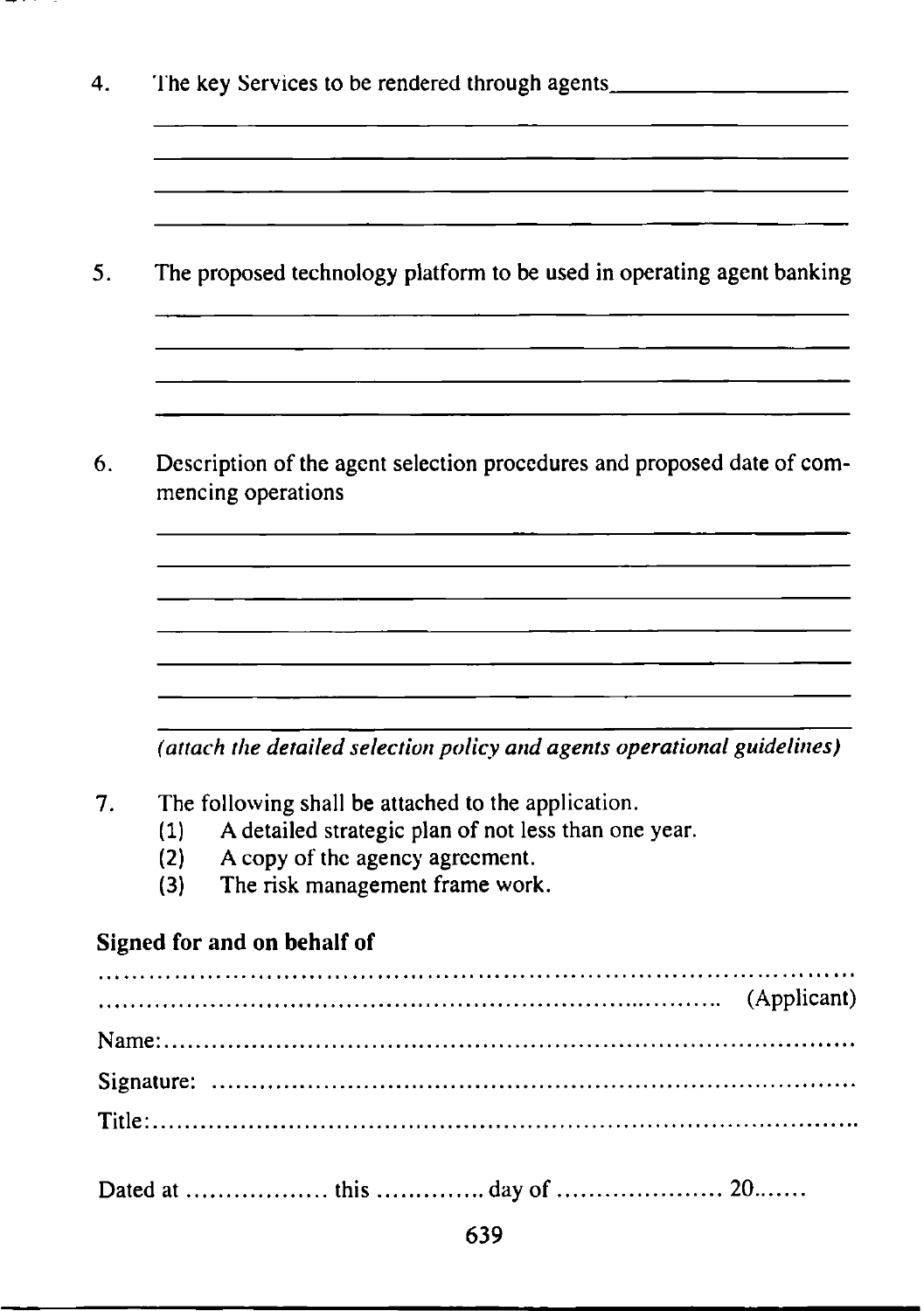4. The key Services to be rendered through agents. 5. The proposed technology platform to be used in operating agent banking 6. Description of the agent selection procedures and proposed date of commencing operations *(attach the detailed selection policy and agents operational guidelines)* 7. The following shall be attached to the application. (1) A detailed strategic plan of not less than one year. (2) A copy of the agency agreement. (3) The risk management frame work. **Signed for and on behalf of** (Applicant) (Applicant) (Applicant) (Applicant) (Applicant) ( Name:..... Signature: Title:.......

Dated at th is.................. day of 20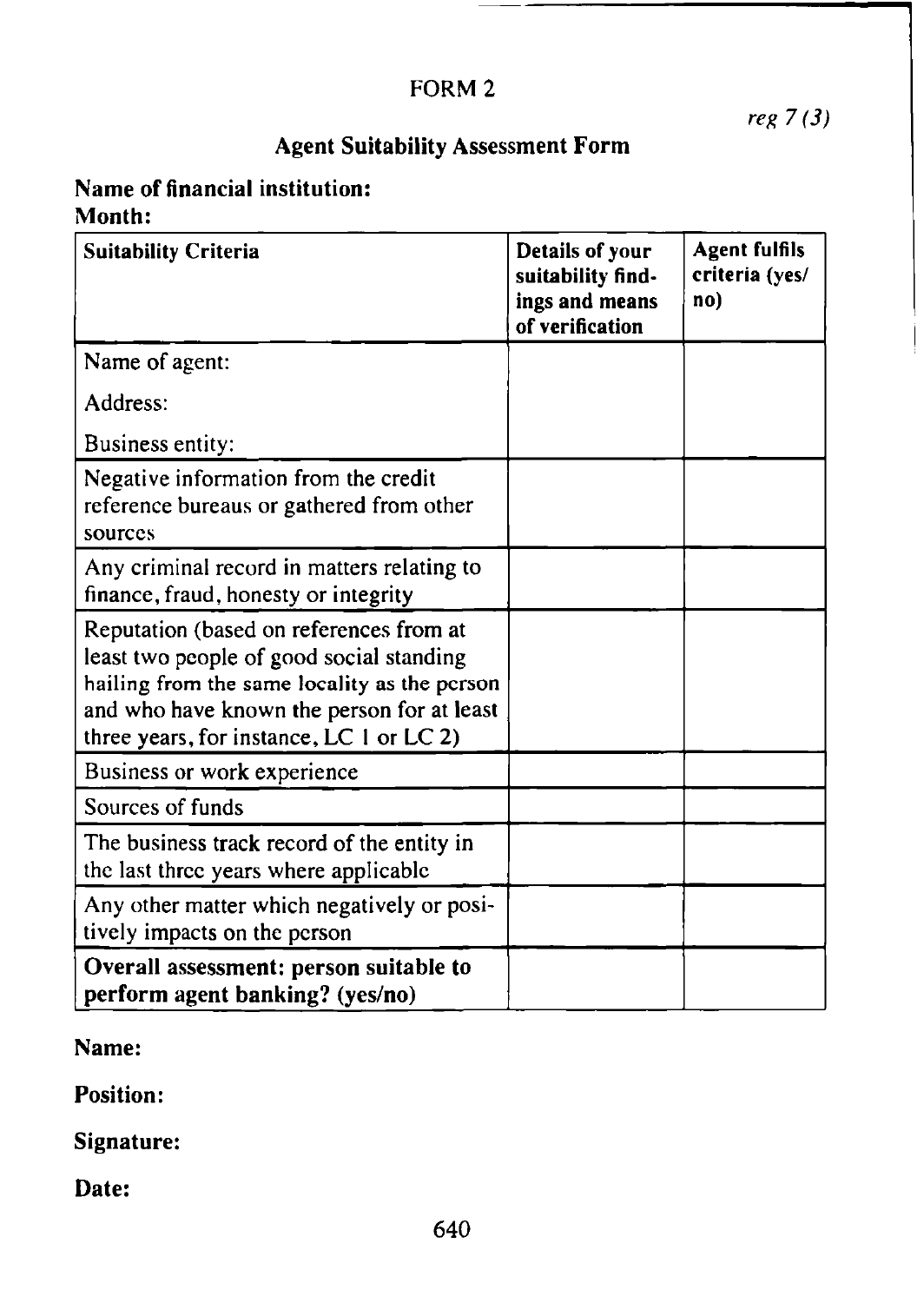# FORM 2

*reg 7 (3)*

# Agent Suitability Assessment Form

# Name of financial institution: Month:

| <b>Suitability Criteria</b>                                                                                                                                                                                                   | Details of your<br>suitability find-<br>ings and means<br>of verification | <b>Agent fulfils</b><br>criteria (yes/<br>no) |
|-------------------------------------------------------------------------------------------------------------------------------------------------------------------------------------------------------------------------------|---------------------------------------------------------------------------|-----------------------------------------------|
| Name of agent:                                                                                                                                                                                                                |                                                                           |                                               |
| Address:                                                                                                                                                                                                                      |                                                                           |                                               |
| Business entity:                                                                                                                                                                                                              |                                                                           |                                               |
| Negative information from the credit<br>reference bureaus or gathered from other<br>sources                                                                                                                                   |                                                                           |                                               |
| Any criminal record in matters relating to<br>finance, fraud, honesty or integrity                                                                                                                                            |                                                                           |                                               |
| Reputation (based on references from at<br>least two people of good social standing<br>hailing from the same locality as the person<br>and who have known the person for at least<br>three years, for instance, LC 1 or LC 2) |                                                                           |                                               |
| Business or work experience                                                                                                                                                                                                   |                                                                           |                                               |
| Sources of funds                                                                                                                                                                                                              |                                                                           |                                               |
| The business track record of the entity in<br>the last three years where applicable                                                                                                                                           |                                                                           |                                               |
| Any other matter which negatively or posi-<br>tively impacts on the person                                                                                                                                                    |                                                                           |                                               |
| Overall assessment: person suitable to<br>perform agent banking? (yes/no)                                                                                                                                                     |                                                                           |                                               |

# Name:

**Position:**

Signature:

Date: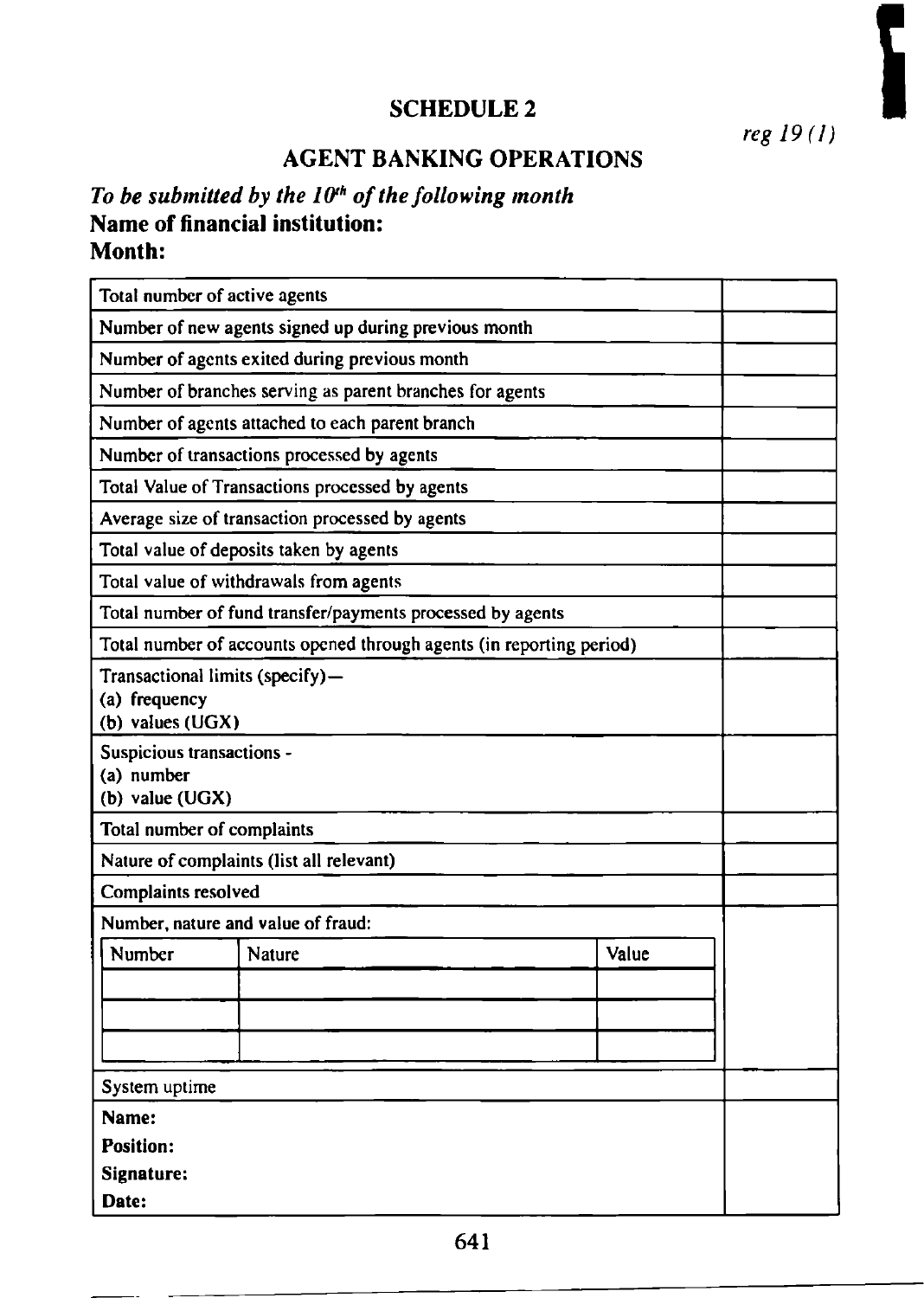# SCHEDULE 2

*reg 19(1)*

# **AGENT BANKING OPERATIONS**

# To be submitted by the 10<sup>th</sup> of the following month **Name of financial institution: Month:**

| Total number of active agents                                            |                                                                      |       |  |  |  |  |  |  |  |
|--------------------------------------------------------------------------|----------------------------------------------------------------------|-------|--|--|--|--|--|--|--|
| Number of new agents signed up during previous month                     |                                                                      |       |  |  |  |  |  |  |  |
| Number of agents exited during previous month                            |                                                                      |       |  |  |  |  |  |  |  |
| Number of branches serving as parent branches for agents                 |                                                                      |       |  |  |  |  |  |  |  |
|                                                                          | Number of agents attached to each parent branch                      |       |  |  |  |  |  |  |  |
|                                                                          | Number of transactions processed by agents                           |       |  |  |  |  |  |  |  |
|                                                                          | Total Value of Transactions processed by agents                      |       |  |  |  |  |  |  |  |
|                                                                          | Average size of transaction processed by agents                      |       |  |  |  |  |  |  |  |
|                                                                          | Total value of deposits taken by agents                              |       |  |  |  |  |  |  |  |
|                                                                          | Total value of withdrawals from agents                               |       |  |  |  |  |  |  |  |
|                                                                          | Total number of fund transfer/payments processed by agents           |       |  |  |  |  |  |  |  |
|                                                                          | Total number of accounts opened through agents (in reporting period) |       |  |  |  |  |  |  |  |
| Transactional limits (specify)-<br>(a) frequency<br>$(b)$ values $(UGX)$ |                                                                      |       |  |  |  |  |  |  |  |
| Suspicious transactions -<br>(a) number<br>(b) value (UGX)               |                                                                      |       |  |  |  |  |  |  |  |
| Total number of complaints                                               |                                                                      |       |  |  |  |  |  |  |  |
|                                                                          | Nature of complaints (list all relevant)                             |       |  |  |  |  |  |  |  |
| Complaints resolved                                                      |                                                                      |       |  |  |  |  |  |  |  |
| Number, nature and value of fraud:                                       |                                                                      |       |  |  |  |  |  |  |  |
| Number                                                                   | Nature                                                               | Value |  |  |  |  |  |  |  |
|                                                                          |                                                                      |       |  |  |  |  |  |  |  |
|                                                                          |                                                                      |       |  |  |  |  |  |  |  |
|                                                                          |                                                                      |       |  |  |  |  |  |  |  |
| System uptime                                                            |                                                                      |       |  |  |  |  |  |  |  |
| Name:                                                                    |                                                                      |       |  |  |  |  |  |  |  |
| <b>Position:</b>                                                         |                                                                      |       |  |  |  |  |  |  |  |
| Signature:                                                               |                                                                      |       |  |  |  |  |  |  |  |
| Date:                                                                    |                                                                      |       |  |  |  |  |  |  |  |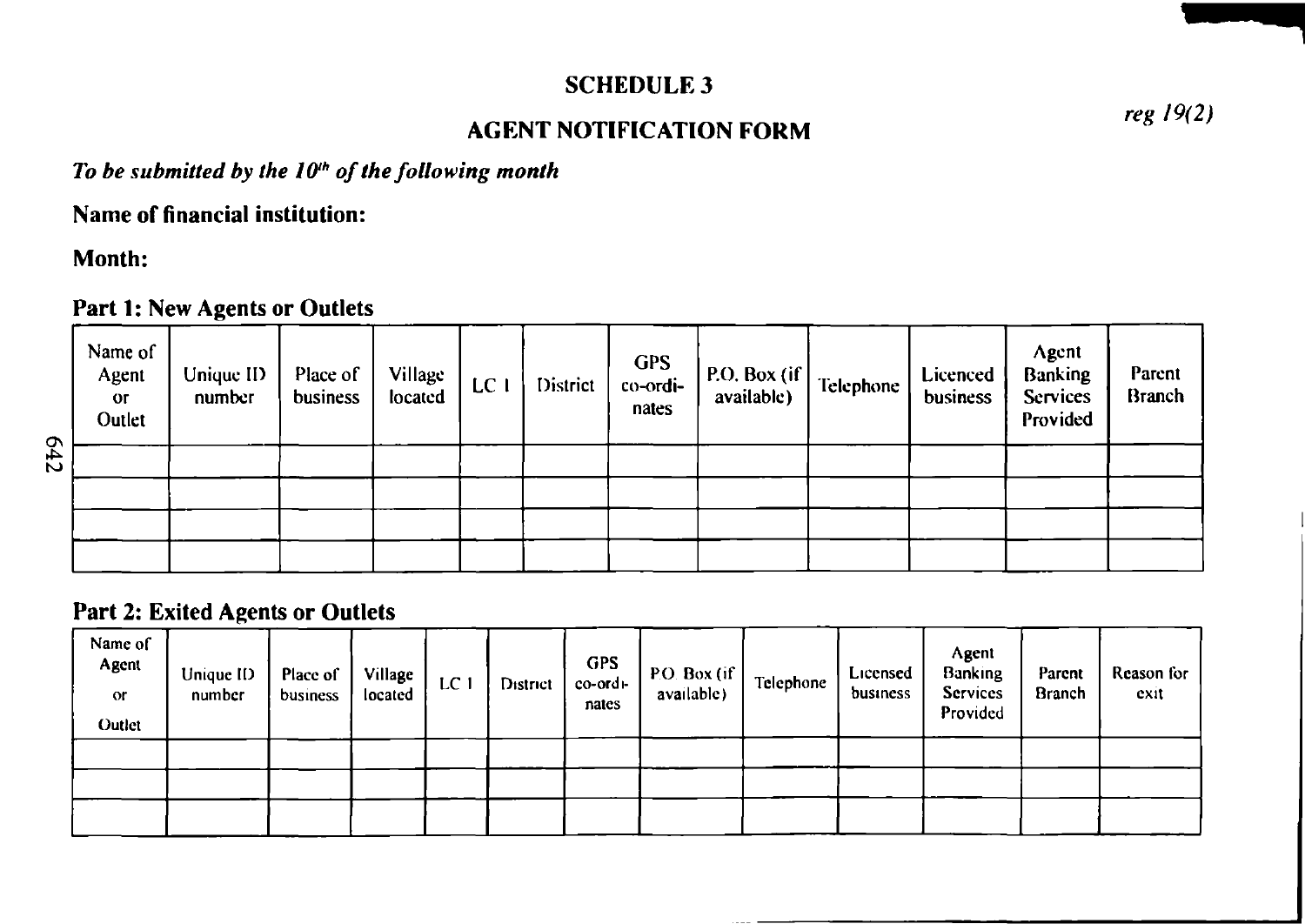### SCHEDULE 3

### **AGENT NOTIFICATION FORM**

*reg 19(2)*

To be submitted by the 10<sup>th</sup> of the following month

**Name of financial institution:**

**Month:**

#### **Part 1: New Agents or Outlets**

| Name of<br>Agent<br>O <sub>l</sub><br>Outlet | Unique ID<br>number | Place of<br>business | Village<br>located | LCI | District | <b>GPS</b><br>co-ordi-<br>nates | P.O. Box (if $\vert$<br>available) | Telephone | Licenced<br>business | Agent<br>Banking<br><b>Services</b><br>Provided | Parent<br><b>Branch</b> |
|----------------------------------------------|---------------------|----------------------|--------------------|-----|----------|---------------------------------|------------------------------------|-----------|----------------------|-------------------------------------------------|-------------------------|
|                                              |                     |                      |                    |     |          |                                 |                                    |           |                      |                                                 |                         |
|                                              |                     |                      |                    |     |          |                                 |                                    |           |                      |                                                 |                         |
|                                              |                     |                      |                    |     |          |                                 |                                    |           |                      |                                                 |                         |
|                                              |                     |                      |                    |     |          |                                 |                                    |           |                      |                                                 |                         |

### **Part 2: Exited Agents or Outlets**

| Name of<br>Agent<br>$\alpha$<br>Outlet | Unique ID-<br>number | Place of<br>business | Village<br>located | LC 1 | District | GPS<br>co-ordi-<br>nates | P.O. Box (if<br>available) | Telephone | Licensed<br>business | Agent<br><b>Banking</b><br><b>Services</b><br>Provided | Parent<br><b>Branch</b> | Reason for<br>exit |
|----------------------------------------|----------------------|----------------------|--------------------|------|----------|--------------------------|----------------------------|-----------|----------------------|--------------------------------------------------------|-------------------------|--------------------|
|                                        |                      |                      |                    |      |          |                          |                            |           |                      |                                                        |                         |                    |
|                                        |                      |                      |                    |      |          |                          |                            |           |                      |                                                        |                         |                    |
|                                        |                      |                      |                    |      |          |                          |                            |           |                      |                                                        |                         |                    |

**642**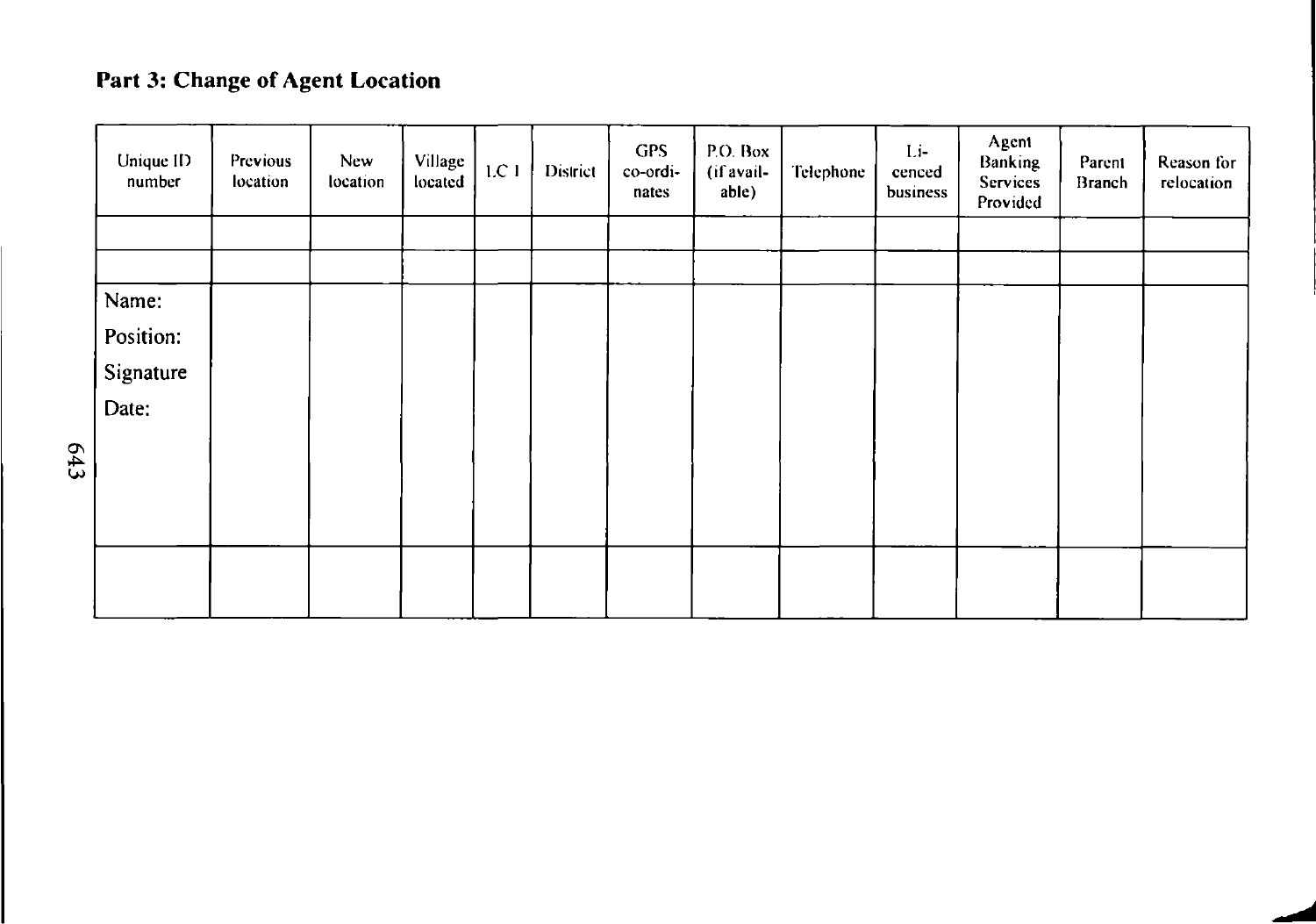# Part 3: Change of Agent Location

| Unique ID<br>number | Previous<br>location | <b>New</b><br>location | Village<br>located | 1.C.1 | District | GPS<br>co-ordi-<br>nates | P.O. Box<br>(if avail-<br>able) | Telephone | Li-<br>cenced<br>business | Agent<br>Banking<br>Services<br>Provided | Parent<br>Branch | Reason for<br>relocation |
|---------------------|----------------------|------------------------|--------------------|-------|----------|--------------------------|---------------------------------|-----------|---------------------------|------------------------------------------|------------------|--------------------------|
|                     |                      |                        |                    |       |          |                          |                                 |           |                           |                                          |                  |                          |
|                     |                      |                        |                    |       |          |                          |                                 |           |                           |                                          |                  |                          |
| Name:               |                      |                        |                    |       |          |                          |                                 |           |                           |                                          |                  |                          |
| Position:           |                      |                        |                    |       |          |                          |                                 |           |                           |                                          |                  |                          |
| Signature           |                      |                        |                    |       |          |                          |                                 |           |                           |                                          |                  |                          |
| Date:               |                      |                        |                    |       |          |                          |                                 |           |                           |                                          |                  |                          |
|                     |                      |                        |                    |       |          |                          |                                 |           |                           |                                          |                  |                          |
|                     |                      |                        |                    |       |          |                          |                                 |           |                           |                                          |                  |                          |
|                     |                      |                        |                    |       |          |                          |                                 |           |                           |                                          |                  |                          |
|                     |                      |                        |                    |       |          |                          |                                 |           |                           |                                          |                  |                          |
|                     |                      |                        |                    |       |          |                          |                                 |           |                           |                                          |                  |                          |
|                     |                      |                        |                    |       |          |                          |                                 |           |                           |                                          |                  |                          |